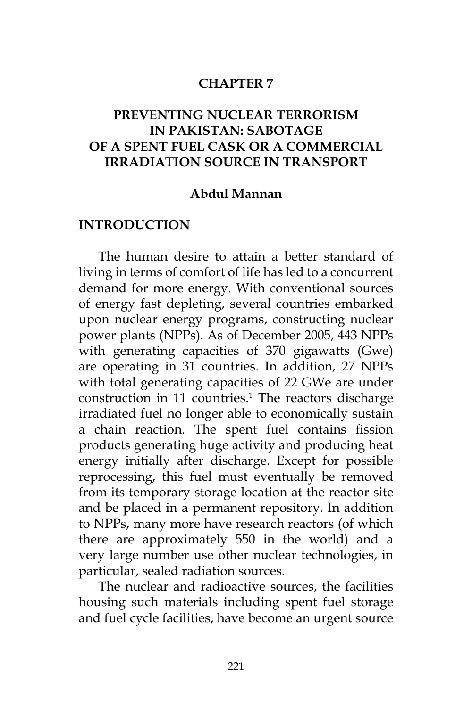### **CHAPTER 7**

## **PREVENTING NUCLEAR TERRORISM IN PAKISTAN: SABOTAGE OF A SPENT FUEL CASK OR A COMMERCIAL IRRADIATION SOURCE IN TRANSPORT**

### **Abdul Mannan**

### **INTRODUCTION**

The human desire to attain a better standard of living in terms of comfort of life has led to a concurrent demand for more energy. With conventional sources of energy fast depleting, several countries embarked upon nuclear energy programs, constructing nuclear power plants (NPPs). As of December 2005, 443 NPPs with generating capacities of 370 gigawatts (Gwe) are operating in 31 countries. In addition, 27 NPPs with total generating capacities of 22 GWe are under construction in 11 countries.<sup>1</sup> The reactors discharge irradiated fuel no longer able to economically sustain a chain reaction. The spent fuel contains fission products generating huge activity and producing heat energy initially after discharge. Except for possible reprocessing, this fuel must eventually be removed from its temporary storage location at the reactor site and be placed in a permanent repository. In addition to NPPs, many more have research reactors (of which there are approximately 550 in the world) and a very large number use other nuclear technologies, in particular, sealed radiation sources.

The nuclear and radioactive sources, the facilities housing such materials including spent fuel storage and fuel cycle facilities, have become an urgent source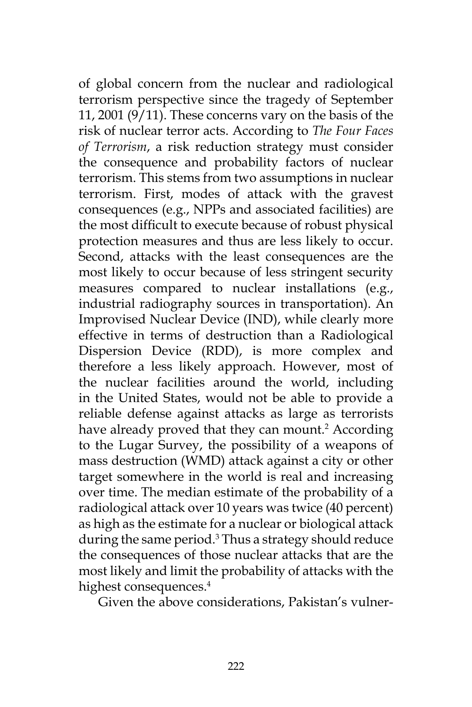of global concern from the nuclear and radiological terrorism perspective since the tragedy of September 11, 2001 (9/11). These concerns vary on the basis of the risk of nuclear terror acts. According to *The Four Faces of Terrorism*, a risk reduction strategy must consider the consequence and probability factors of nuclear terrorism. This stems from two assumptions in nuclear terrorism. First, modes of attack with the gravest consequences (e.g., NPPs and associated facilities) are the most difficult to execute because of robust physical protection measures and thus are less likely to occur. Second, attacks with the least consequences are the most likely to occur because of less stringent security measures compared to nuclear installations (e.g., industrial radiography sources in transportation). An Improvised Nuclear Device (IND), while clearly more effective in terms of destruction than a Radiological Dispersion Device (RDD), is more complex and therefore a less likely approach. However, most of the nuclear facilities around the world, including in the United States, would not be able to provide a reliable defense against attacks as large as terrorists have already proved that they can mount.<sup>2</sup> According to the Lugar Survey, the possibility of a weapons of mass destruction (WMD) attack against a city or other target somewhere in the world is real and increasing over time. The median estimate of the probability of a radiological attack over 10 years was twice (40 percent) as high as the estimate for a nuclear or biological attack during the same period.<sup>3</sup> Thus a strategy should reduce the consequences of those nuclear attacks that are the most likely and limit the probability of attacks with the highest consequences.<sup>4</sup>

Given the above considerations, Pakistan's vulner-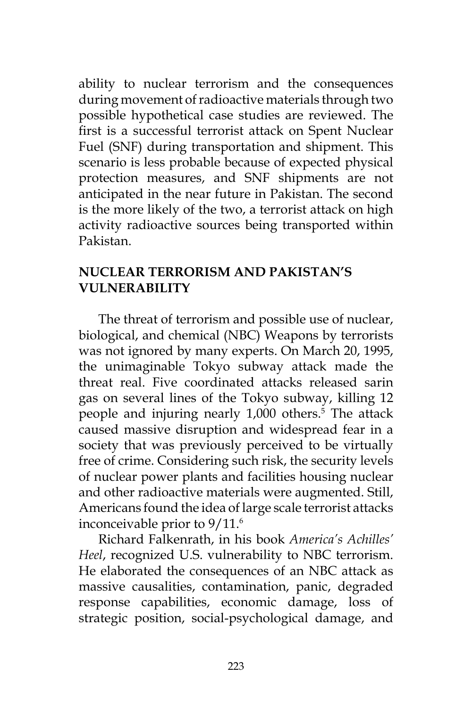ability to nuclear terrorism and the consequences during movement of radioactive materials through two possible hypothetical case studies are reviewed. The first is a successful terrorist attack on Spent Nuclear Fuel (SNF) during transportation and shipment. This scenario is less probable because of expected physical protection measures, and SNF shipments are not anticipated in the near future in Pakistan. The second is the more likely of the two, a terrorist attack on high activity radioactive sources being transported within Pakistan.

### **NUCLEAR TERRORISM AND PAKISTAN'S VULNERABILITY**

The threat of terrorism and possible use of nuclear, biological, and chemical (NBC) Weapons by terrorists was not ignored by many experts. On March 20, 1995, the unimaginable Tokyo subway attack made the threat real. Five coordinated attacks released sarin gas on several lines of the Tokyo subway, killing 12 people and injuring nearly 1,000 others.<sup>5</sup> The attack caused massive disruption and widespread fear in a society that was previously perceived to be virtually free of crime. Considering such risk, the security levels of nuclear power plants and facilities housing nuclear and other radioactive materials were augmented. Still, Americans found the idea of large scale terrorist attacks inconceivable prior to 9/11.<sup>6</sup>

Richard Falkenrath, in his book *America's Achilles' Heel*, recognized U.S. vulnerability to NBC terrorism. He elaborated the consequences of an NBC attack as massive causalities, contamination, panic, degraded response capabilities, economic damage, loss of strategic position, social-psychological damage, and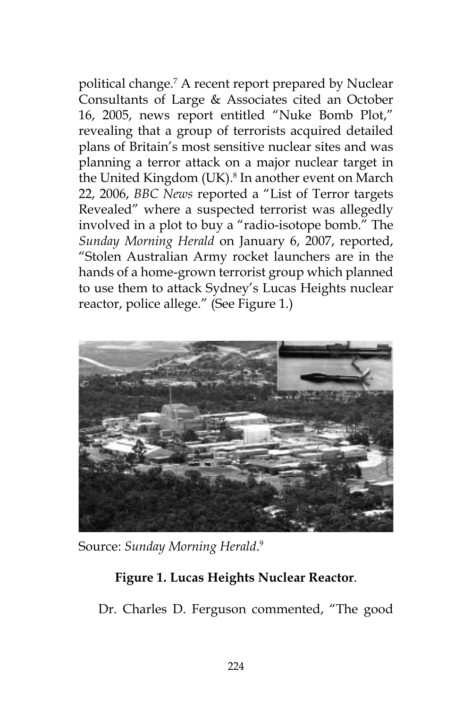political change.7 A recent report prepared by Nuclear Consultants of Large & Associates cited an October 16, 2005, news report entitled "Nuke Bomb Plot," revealing that a group of terrorists acquired detailed plans of Britain's most sensitive nuclear sites and was planning a terror attack on a major nuclear target in the United Kingdom (UK).<sup>8</sup> In another event on March 22, 2006, *BBC News* reported a "List of Terror targets Revealed" where a suspected terrorist was allegedly involved in a plot to buy a "radio-isotope bomb." The *Sunday Morning Herald* on January 6, 2007, reported, "Stolen Australian Army rocket launchers are in the hands of a home-grown terrorist group which planned to use them to attack Sydney's Lucas Heights nuclear reactor, police allege." (See Figure 1.)



Source: *Sunday Morning Herald*. 9

# **Figure 1. Lucas Heights Nuclear Reactor**.

Dr. Charles D. Ferguson commented, "The good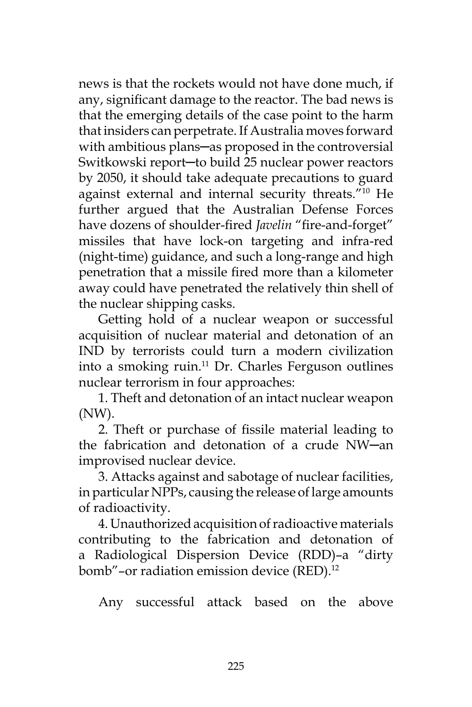news is that the rockets would not have done much, if any, significant damage to the reactor. The bad news is that the emerging details of the case point to the harm that insiders can perpetrate. If Australia moves forward with ambitious plans-as proposed in the controversial Switkowski report─to build 25 nuclear power reactors by 2050, it should take adequate precautions to guard against external and internal security threats."10 He further argued that the Australian Defense Forces have dozens of shoulder-fired *Javelin* "fire-and-forget" missiles that have lock-on targeting and infra-red (night-time) guidance, and such a long-range and high penetration that a missile fired more than a kilometer away could have penetrated the relatively thin shell of the nuclear shipping casks.

Getting hold of a nuclear weapon or successful acquisition of nuclear material and detonation of an IND by terrorists could turn a modern civilization into a smoking ruin. $11$  Dr. Charles Ferguson outlines nuclear terrorism in four approaches:

1. Theft and detonation of an intact nuclear weapon (NW).

2. Theft or purchase of fissile material leading to the fabrication and detonation of a crude NW─an improvised nuclear device.

3. Attacks against and sabotage of nuclear facilities, in particular NPPs, causing the release of large amounts of radioactivity.

4. Unauthorized acquisition of radioactive materials contributing to the fabrication and detonation of a Radiological Dispersion Device (RDD)–a "dirty bomb"-or radiation emission device (RED).<sup>12</sup>

Any successful attack based on the above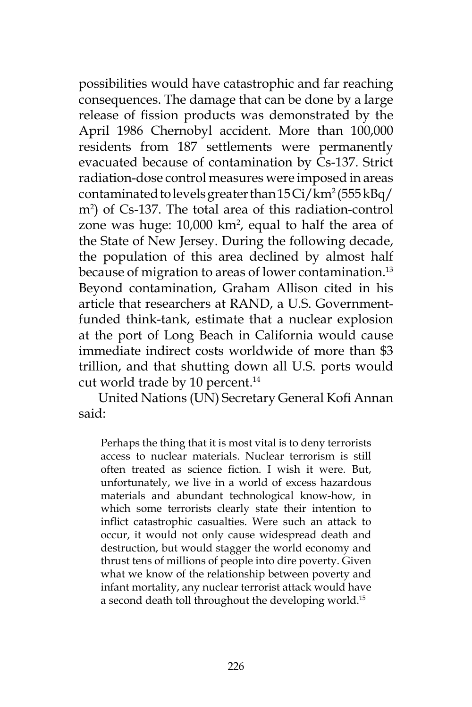possibilities would have catastrophic and far reaching consequences. The damage that can be done by a large release of fission products was demonstrated by the April 1986 Chernobyl accident. More than 100,000 residents from 187 settlements were permanently evacuated because of contamination by Cs-137. Strict radiation-dose control measures were imposed in areas contaminated to levels greater than  $15\mathrm{Ci}/\mathrm{km^2}$  (555 kBq/ m2 ) of Cs-137. The total area of this radiation-control zone was huge:  $10,000 \text{ km}^2$ , equal to half the area of the State of New Jersey. During the following decade, the population of this area declined by almost half because of migration to areas of lower contamination.<sup>13</sup> Beyond contamination, Graham Allison cited in his article that researchers at RAND, a U.S. Governmentfunded think-tank, estimate that a nuclear explosion at the port of Long Beach in California would cause immediate indirect costs worldwide of more than \$3 trillion, and that shutting down all U.S. ports would cut world trade by 10 percent.<sup>14</sup>

United Nations (UN) Secretary General Kofi Annan said:

Perhaps the thing that it is most vital is to deny terrorists access to nuclear materials. Nuclear terrorism is still often treated as science fiction. I wish it were. But, unfortunately, we live in a world of excess hazardous materials and abundant technological know-how, in which some terrorists clearly state their intention to inflict catastrophic casualties. Were such an attack to occur, it would not only cause widespread death and destruction, but would stagger the world economy and thrust tens of millions of people into dire poverty. Given what we know of the relationship between poverty and infant mortality, any nuclear terrorist attack would have a second death toll throughout the developing world.15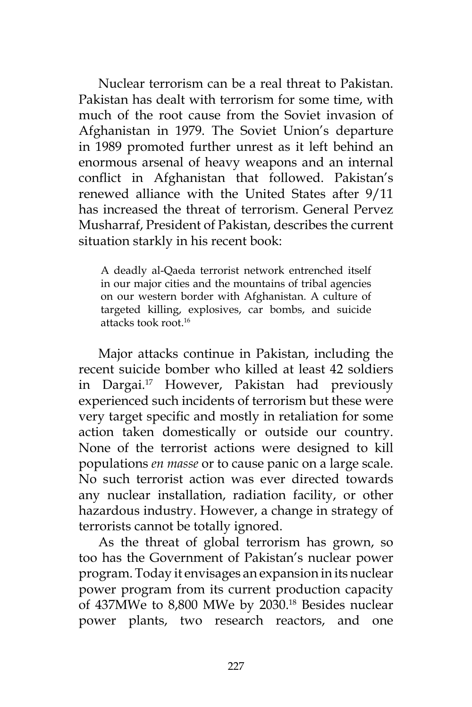Nuclear terrorism can be a real threat to Pakistan. Pakistan has dealt with terrorism for some time, with much of the root cause from the Soviet invasion of Afghanistan in 1979. The Soviet Union's departure in 1989 promoted further unrest as it left behind an enormous arsenal of heavy weapons and an internal conflict in Afghanistan that followed. Pakistan's renewed alliance with the United States after 9/11 has increased the threat of terrorism. General Pervez Musharraf, President of Pakistan, describes the current situation starkly in his recent book:

A deadly al-Qaeda terrorist network entrenched itself in our major cities and the mountains of tribal agencies on our western border with Afghanistan. A culture of targeted killing, explosives, car bombs, and suicide attacks took root.16

Major attacks continue in Pakistan, including the recent suicide bomber who killed at least 42 soldiers in Dargai.17 However, Pakistan had previously experienced such incidents of terrorism but these were very target specific and mostly in retaliation for some action taken domestically or outside our country. None of the terrorist actions were designed to kill populations *en masse* or to cause panic on a large scale. No such terrorist action was ever directed towards any nuclear installation, radiation facility, or other hazardous industry. However, a change in strategy of terrorists cannot be totally ignored.

As the threat of global terrorism has grown, so too has the Government of Pakistan's nuclear power program. Today it envisages an expansion in its nuclear power program from its current production capacity of 437MWe to 8,800 MWe by 2030.18 Besides nuclear power plants, two research reactors, and one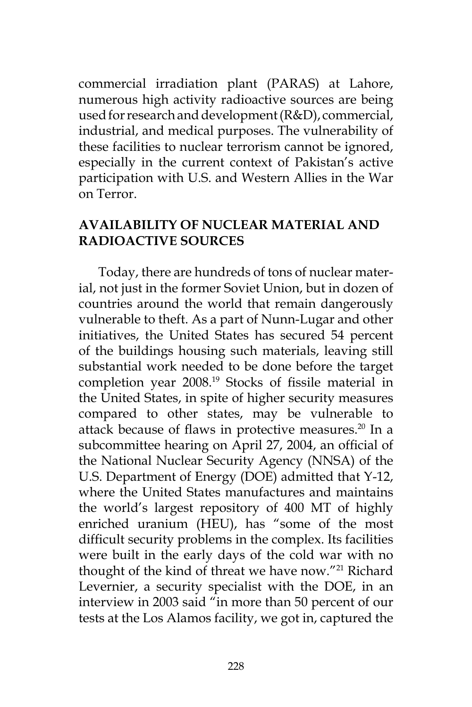commercial irradiation plant (PARAS) at Lahore, numerous high activity radioactive sources are being used for research and development (R&D), commercial, industrial, and medical purposes. The vulnerability of these facilities to nuclear terrorism cannot be ignored, especially in the current context of Pakistan's active participation with U.S. and Western Allies in the War on Terror.

## **AVAILABILITY OF NUCLEAR MATERIAL AND RADIOACTIVE SOURCES**

Today, there are hundreds of tons of nuclear material, not just in the former Soviet Union, but in dozen of countries around the world that remain dangerously vulnerable to theft. As a part of Nunn-Lugar and other initiatives, the United States has secured 54 percent of the buildings housing such materials, leaving still substantial work needed to be done before the target completion year 2008.19 Stocks of fissile material in the United States, in spite of higher security measures compared to other states, may be vulnerable to attack because of flaws in protective measures.<sup>20</sup> In a subcommittee hearing on April 27, 2004, an official of the National Nuclear Security Agency (NNSA) of the U.S. Department of Energy (DOE) admitted that Y-12, where the United States manufactures and maintains the world's largest repository of 400 MT of highly enriched uranium (HEU), has "some of the most difficult security problems in the complex. Its facilities were built in the early days of the cold war with no thought of the kind of threat we have now."21 Richard Levernier, a security specialist with the DOE, in an interview in 2003 said "in more than 50 percent of our tests at the Los Alamos facility, we got in, captured the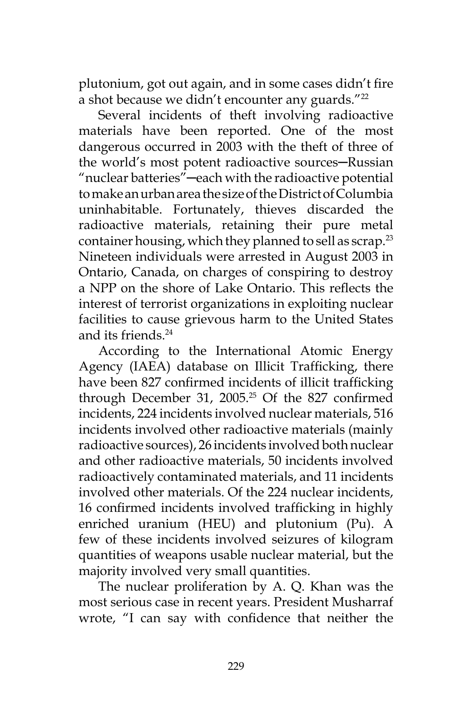plutonium, got out again, and in some cases didn't fire a shot because we didn't encounter any guards."<sup>22</sup>

Several incidents of theft involving radioactive materials have been reported. One of the most dangerous occurred in 2003 with the theft of three of the world's most potent radioactive sources-Russian "nuclear batteries"─each with the radioactive potential to make an urban area the size of the District of Columbia uninhabitable. Fortunately, thieves discarded the radioactive materials, retaining their pure metal container housing, which they planned to sell as scrap.<sup>23</sup> Nineteen individuals were arrested in August 2003 in Ontario, Canada, on charges of conspiring to destroy a NPP on the shore of Lake Ontario. This reflects the interest of terrorist organizations in exploiting nuclear facilities to cause grievous harm to the United States and its friends.24

According to the International Atomic Energy Agency (IAEA) database on Illicit Trafficking, there have been 827 confirmed incidents of illicit trafficking through December 31, 2005.<sup>25</sup> Of the 827 confirmed incidents, 224 incidents involved nuclear materials, 516 incidents involved other radioactive materials (mainly radioactive sources), 26 incidents involved both nuclear and other radioactive materials, 50 incidents involved radioactively contaminated materials, and 11 incidents involved other materials. Of the 224 nuclear incidents, 16 confirmed incidents involved trafficking in highly enriched uranium (HEU) and plutonium (Pu). A few of these incidents involved seizures of kilogram quantities of weapons usable nuclear material, but the majority involved very small quantities.

The nuclear proliferation by A. Q. Khan was the most serious case in recent years. President Musharraf wrote, "I can say with confidence that neither the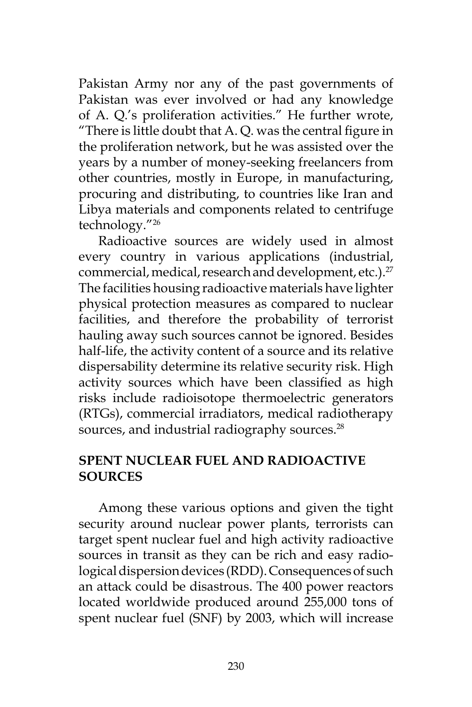Pakistan Army nor any of the past governments of Pakistan was ever involved or had any knowledge of A. Q.'s proliferation activities." He further wrote, "There is little doubt that A. Q. was the central figure in the proliferation network, but he was assisted over the years by a number of money-seeking freelancers from other countries, mostly in Europe, in manufacturing, procuring and distributing, to countries like Iran and Libya materials and components related to centrifuge technology."26

Radioactive sources are widely used in almost every country in various applications (industrial, commercial, medical, research and development, etc.).<sup>27</sup> The facilities housing radioactive materials have lighter physical protection measures as compared to nuclear facilities, and therefore the probability of terrorist hauling away such sources cannot be ignored. Besides half-life, the activity content of a source and its relative dispersability determine its relative security risk. High activity sources which have been classified as high risks include radioisotope thermoelectric generators (RTGs), commercial irradiators, medical radiotherapy sources, and industrial radiography sources.<sup>28</sup>

# **SPENT NUCLEAR FUEL AND RADIOACTIVE SOURCES**

Among these various options and given the tight security around nuclear power plants, terrorists can target spent nuclear fuel and high activity radioactive sources in transit as they can be rich and easy radiological dispersion devices (RDD). Consequences of such an attack could be disastrous. The 400 power reactors located worldwide produced around 255,000 tons of spent nuclear fuel (SNF) by 2003, which will increase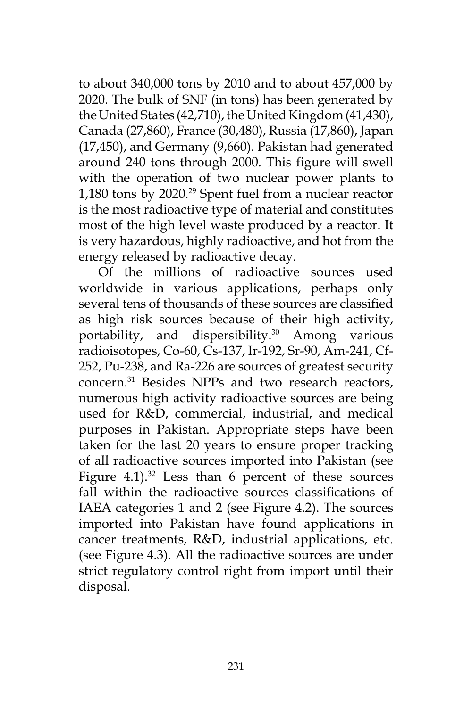to about 340,000 tons by 2010 and to about 457,000 by 2020. The bulk of SNF (in tons) has been generated by the United States (42,710), the United Kingdom (41,430), Canada (27,860), France (30,480), Russia (17,860), Japan (17,450), and Germany (9,660). Pakistan had generated around 240 tons through 2000. This figure will swell with the operation of two nuclear power plants to 1,180 tons by 2020.29 Spent fuel from a nuclear reactor is the most radioactive type of material and constitutes most of the high level waste produced by a reactor. It is very hazardous, highly radioactive, and hot from the energy released by radioactive decay.

Of the millions of radioactive sources used worldwide in various applications, perhaps only several tens of thousands of these sources are classified as high risk sources because of their high activity, portability, and dispersibility.<sup>30</sup> Among various radioisotopes, Co-60, Cs-137, Ir-192, Sr-90, Am-241, Cf-252, Pu-238, and Ra-226 are sources of greatest security concern.31 Besides NPPs and two research reactors, numerous high activity radioactive sources are being used for R&D, commercial, industrial, and medical purposes in Pakistan. Appropriate steps have been taken for the last 20 years to ensure proper tracking of all radioactive sources imported into Pakistan (see Figure  $4.1$ ).<sup>32</sup> Less than 6 percent of these sources fall within the radioactive sources classifications of IAEA categories 1 and 2 (see Figure 4.2). The sources imported into Pakistan have found applications in cancer treatments, R&D, industrial applications, etc. (see Figure 4.3). All the radioactive sources are under strict regulatory control right from import until their disposal.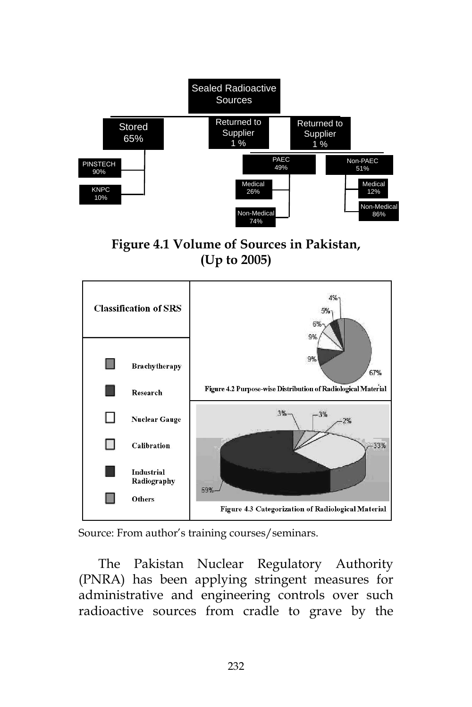

**Figure 4.1 Volume of Sources in Pakistan, (Up to 2005)**



Source: From author's training courses/seminars.

The Pakistan Nuclear Regulatory Authority (PNRA) has been applying stringent measures for administrative and engineering controls over such radioactive sources from cradle to grave by the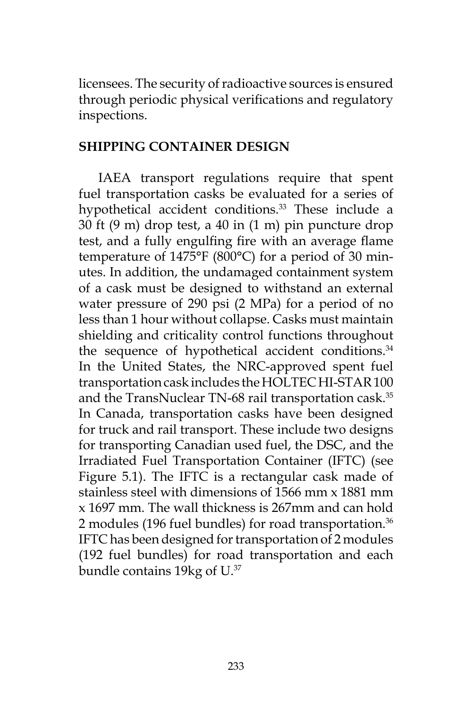licensees. The security of radioactive sources is ensured through periodic physical verifications and regulatory inspections.

### **SHIPPING CONTAINER DESIGN**

IAEA transport regulations require that spent fuel transportation casks be evaluated for a series of hypothetical accident conditions.<sup>33</sup> These include a 30 ft (9 m) drop test, a 40 in (1 m) pin puncture drop test, and a fully engulfing fire with an average flame temperature of 1475°F (800°C) for a period of 30 minutes. In addition, the undamaged containment system of a cask must be designed to withstand an external water pressure of 290 psi (2 MPa) for a period of no less than 1 hour without collapse. Casks must maintain shielding and criticality control functions throughout the sequence of hypothetical accident conditions.<sup>34</sup> In the United States, the NRC-approved spent fuel transportation cask includes the HOLTEC HI-STAR 100 and the TransNuclear TN-68 rail transportation cask.<sup>35</sup> In Canada, transportation casks have been designed for truck and rail transport. These include two designs for transporting Canadian used fuel, the DSC, and the Irradiated Fuel Transportation Container (IFTC) (see Figure 5.1). The IFTC is a rectangular cask made of stainless steel with dimensions of 1566 mm x 1881 mm x 1697 mm. The wall thickness is 267mm and can hold 2 modules (196 fuel bundles) for road transportation.<sup>36</sup> IFTC has been designed for transportation of 2 modules (192 fuel bundles) for road transportation and each bundle contains 19kg of U.37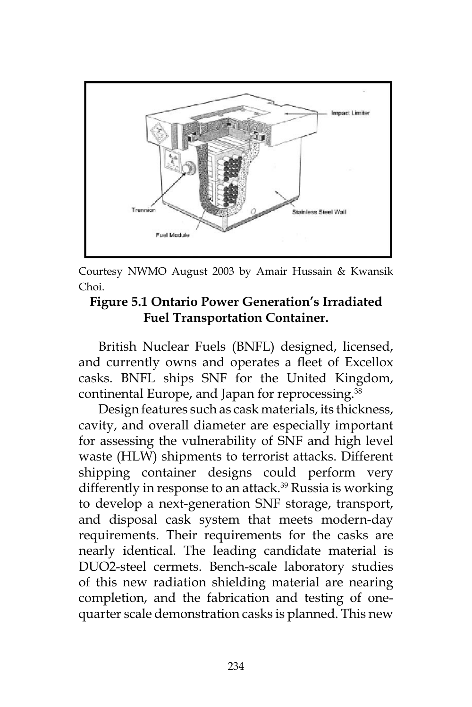

Courtesy NWMO August 2003 by Amair Hussain & Kwansik Choi.

## **Figure 5.1 Ontario Power Generation's Irradiated Fuel Transportation Container.**

British Nuclear Fuels (BNFL) designed, licensed, and currently owns and operates a fleet of Excellox casks. BNFL ships SNF for the United Kingdom, continental Europe, and Japan for reprocessing.<sup>38</sup>

Design features such as cask materials, its thickness, cavity, and overall diameter are especially important for assessing the vulnerability of SNF and high level waste (HLW) shipments to terrorist attacks. Different shipping container designs could perform very differently in response to an attack.<sup>39</sup> Russia is working to develop a next-generation SNF storage, transport, and disposal cask system that meets modern-day requirements. Their requirements for the casks are nearly identical. The leading candidate material is DUO2-steel cermets. Bench-scale laboratory studies of this new radiation shielding material are nearing completion, and the fabrication and testing of onequarter scale demonstration casks is planned. This new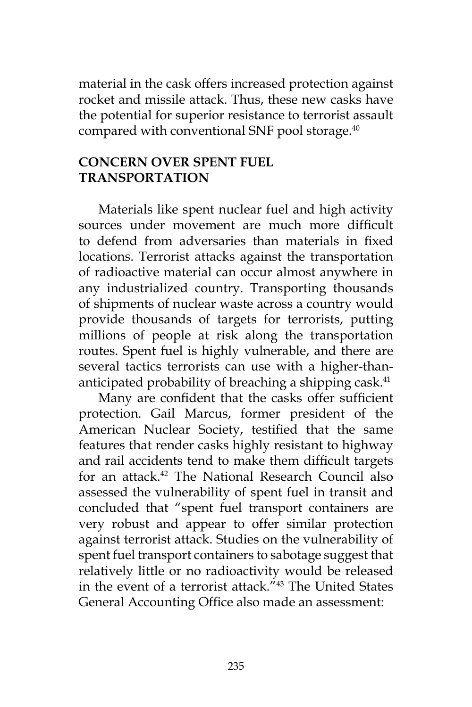material in the cask offers increased protection against rocket and missile attack. Thus, these new casks have the potential for superior resistance to terrorist assault compared with conventional SNF pool storage.<sup>40</sup>

### **CONCERN OVER SPENT FUEL TRANSPORTATION**

Materials like spent nuclear fuel and high activity sources under movement are much more difficult to defend from adversaries than materials in fixed locations. Terrorist attacks against the transportation of radioactive material can occur almost anywhere in any industrialized country. Transporting thousands of shipments of nuclear waste across a country would provide thousands of targets for terrorists, putting millions of people at risk along the transportation routes. Spent fuel is highly vulnerable, and there are several tactics terrorists can use with a higher-thananticipated probability of breaching a shipping cask.<sup>41</sup>

Many are confident that the casks offer sufficient protection. Gail Marcus, former president of the American Nuclear Society, testified that the same features that render casks highly resistant to highway and rail accidents tend to make them difficult targets for an attack.<sup>42</sup> The National Research Council also assessed the vulnerability of spent fuel in transit and concluded that "spent fuel transport containers are very robust and appear to offer similar protection against terrorist attack. Studies on the vulnerability of spent fuel transport containers to sabotage suggest that relatively little or no radioactivity would be released in the event of a terrorist attack."43 The United States General Accounting Office also made an assessment: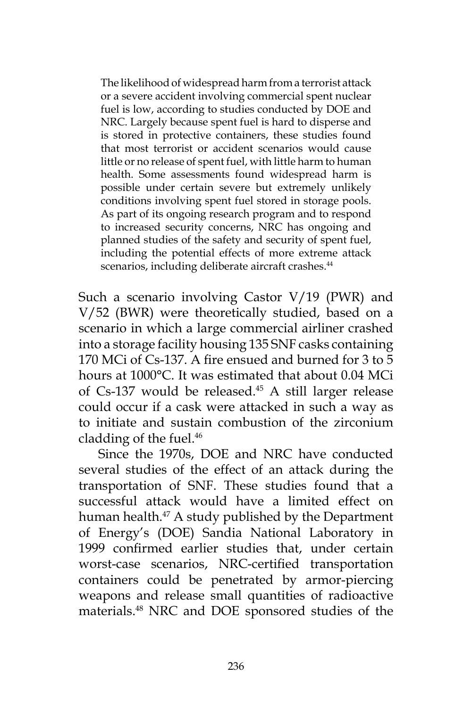The likelihood of widespread harm from a terrorist attack or a severe accident involving commercial spent nuclear fuel is low, according to studies conducted by DOE and NRC. Largely because spent fuel is hard to disperse and is stored in protective containers, these studies found that most terrorist or accident scenarios would cause little or no release of spent fuel, with little harm to human health. Some assessments found widespread harm is possible under certain severe but extremely unlikely conditions involving spent fuel stored in storage pools. As part of its ongoing research program and to respond to increased security concerns, NRC has ongoing and planned studies of the safety and security of spent fuel, including the potential effects of more extreme attack scenarios, including deliberate aircraft crashes.<sup>44</sup>

Such a scenario involving Castor V/19 (PWR) and V/52 (BWR) were theoretically studied, based on a scenario in which a large commercial airliner crashed into a storage facility housing 135 SNF casks containing 170 MCi of Cs-137. A fire ensued and burned for 3 to 5 hours at 1000°C. It was estimated that about 0.04 MCi of Cs-137 would be released.<sup>45</sup> A still larger release could occur if a cask were attacked in such a way as to initiate and sustain combustion of the zirconium cladding of the fuel.<sup>46</sup>

Since the 1970s, DOE and NRC have conducted several studies of the effect of an attack during the transportation of SNF. These studies found that a successful attack would have a limited effect on human health.<sup>47</sup> A study published by the Department of Energy's (DOE) Sandia National Laboratory in 1999 confirmed earlier studies that, under certain worst-case scenarios, NRC-certified transportation containers could be penetrated by armor-piercing weapons and release small quantities of radioactive materials.48 NRC and DOE sponsored studies of the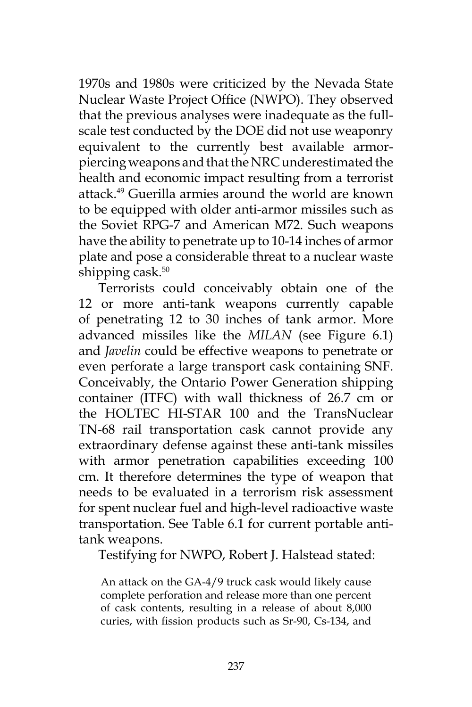1970s and 1980s were criticized by the Nevada State Nuclear Waste Project Office (NWPO). They observed that the previous analyses were inadequate as the fullscale test conducted by the DOE did not use weaponry equivalent to the currently best available armorpiercing weapons and that the NRC underestimated the health and economic impact resulting from a terrorist attack.49 Guerilla armies around the world are known to be equipped with older anti-armor missiles such as the Soviet RPG-7 and American M72. Such weapons have the ability to penetrate up to 10-14 inches of armor plate and pose a considerable threat to a nuclear waste shipping cask. $50$ 

Terrorists could conceivably obtain one of the 12 or more anti-tank weapons currently capable of penetrating 12 to 30 inches of tank armor. More advanced missiles like the *MILAN* (see Figure 6.1) and *Javelin* could be effective weapons to penetrate or even perforate a large transport cask containing SNF. Conceivably, the Ontario Power Generation shipping container (ITFC) with wall thickness of 26.7 cm or the HOLTEC HI-STAR 100 and the TransNuclear TN-68 rail transportation cask cannot provide any extraordinary defense against these anti-tank missiles with armor penetration capabilities exceeding 100 cm. It therefore determines the type of weapon that needs to be evaluated in a terrorism risk assessment for spent nuclear fuel and high-level radioactive waste transportation. See Table 6.1 for current portable antitank weapons.

Testifying for NWPO, Robert J. Halstead stated:

An attack on the GA-4/9 truck cask would likely cause complete perforation and release more than one percent of cask contents, resulting in a release of about 8,000 curies, with fission products such as Sr-90, Cs-134, and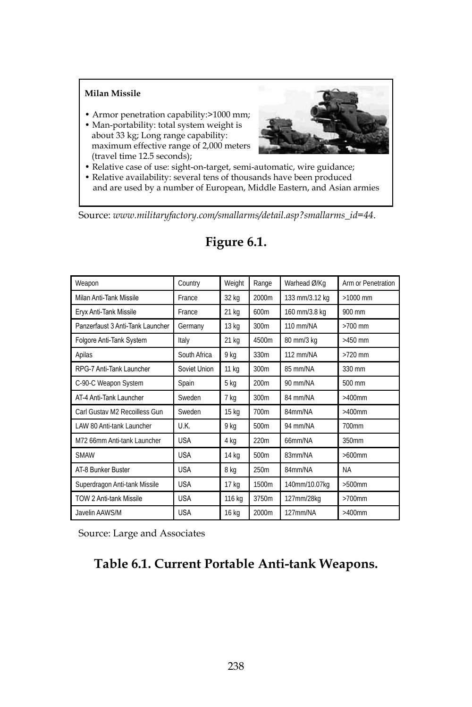#### **Milan Missile**

- Armor penetration capability:>1000 mm;
- Man-portability: total system weight is about 33 kg; Long range capability: maximum effective range of 2,000 meters (travel time 12.5 seconds);



- Relative case of use: sight-on-target, semi-automatic, wire guidance;
- Relative availability: several tens of thousands have been produced and are used by a number of European, Middle Eastern, and Asian armies

Source: *www.militaryfactory.com/smallarms/detail.asp?smallarms\_id=44*.

| Weapon                           | Country      | Weight | Range            | Warhead Ø/Kg   | Arm or Penetration |
|----------------------------------|--------------|--------|------------------|----------------|--------------------|
| Milan Anti-Tank Missile          | France       | 32 kg  | 2000m            | 133 mm/3.12 kg | $>1000$ mm         |
| Eryx Anti-Tank Missile           | France       | 21 kg  | 600m             | 160 mm/3.8 kg  | 900 mm             |
| Panzerfaust 3 Anti-Tank Launcher | Germany      | 13 kg  | 300m             | 110 mm/NA      | $>700$ mm          |
| Folgore Anti-Tank System         | Italy        | 21 kg  | 4500m            | 80 mm/3 kg     | $>450$ mm          |
| Apilas                           | South Africa | 9 kg   | 330m             | 112 mm/NA      | $>720$ mm          |
| RPG-7 Anti-Tank Launcher         | Soviet Union | 11 kg  | 300m             | 85 mm/NA       | 330 mm             |
| C-90-C Weapon System             | Spain        | 5 kg   | 200 <sub>m</sub> | 90 mm/NA       | 500 mm             |
| AT-4 Anti-Tank Launcher          | Sweden       | 7 kg   | 300m             | 84 mm/NA       | $>400$ mm          |
| Carl Gustav M2 Recoilless Gun    | Sweden       | 15 kg  | 700m             | 84mm/NA        | $>400$ mm          |
| LAW 80 Anti-tank Launcher        | U.K.         | 9 kg   | 500m             | 94 mm/NA       | 700mm              |
| M72 66mm Anti-tank Launcher      | <b>USA</b>   | 4 kg   | 220m             | 66mm/NA        | 350mm              |
| <b>SMAW</b>                      | <b>USA</b>   | 14 kg  | 500m             | 83mm/NA        | $>600$ mm          |
| AT-8 Bunker Buster               | <b>USA</b>   | 8 kg   | 250m             | 84mm/NA        | <b>NA</b>          |
| Superdragon Anti-tank Missile    | <b>USA</b>   | 17 kg  | 1500m            | 140mm/10.07kg  | $>500$ mm          |
| <b>TOW 2 Anti-tank Missile</b>   | <b>USA</b>   | 116 kg | 3750m            | 127mm/28kg     | $>700$ mm          |
| Javelin AAWS/M                   | <b>USA</b>   | 16 kg  | 2000m            | 127mm/NA       | $>400$ mm          |

### **Figure 6.1.**

Source: Large and Associates

### **Table 6.1. Current Portable Anti-tank Weapons.**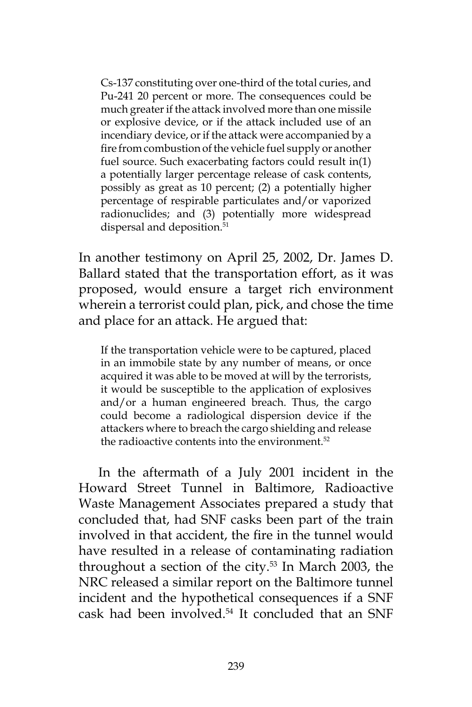Cs-137 constituting over one-third of the total curies, and Pu-241 20 percent or more. The consequences could be much greater if the attack involved more than one missile or explosive device, or if the attack included use of an incendiary device, or if the attack were accompanied by a fire from combustion of the vehicle fuel supply or another fuel source. Such exacerbating factors could result in(1) a potentially larger percentage release of cask contents, possibly as great as 10 percent; (2) a potentially higher percentage of respirable particulates and/or vaporized radionuclides; and (3) potentially more widespread dispersal and deposition.<sup>51</sup>

In another testimony on April 25, 2002, Dr. James D. Ballard stated that the transportation effort, as it was proposed, would ensure a target rich environment wherein a terrorist could plan, pick, and chose the time and place for an attack. He argued that:

If the transportation vehicle were to be captured, placed in an immobile state by any number of means, or once acquired it was able to be moved at will by the terrorists, it would be susceptible to the application of explosives and/or a human engineered breach. Thus, the cargo could become a radiological dispersion device if the attackers where to breach the cargo shielding and release the radioactive contents into the environment.<sup>52</sup>

In the aftermath of a July 2001 incident in the Howard Street Tunnel in Baltimore, Radioactive Waste Management Associates prepared a study that concluded that, had SNF casks been part of the train involved in that accident, the fire in the tunnel would have resulted in a release of contaminating radiation throughout a section of the city. $53$  In March 2003, the NRC released a similar report on the Baltimore tunnel incident and the hypothetical consequences if a SNF cask had been involved.54 It concluded that an SNF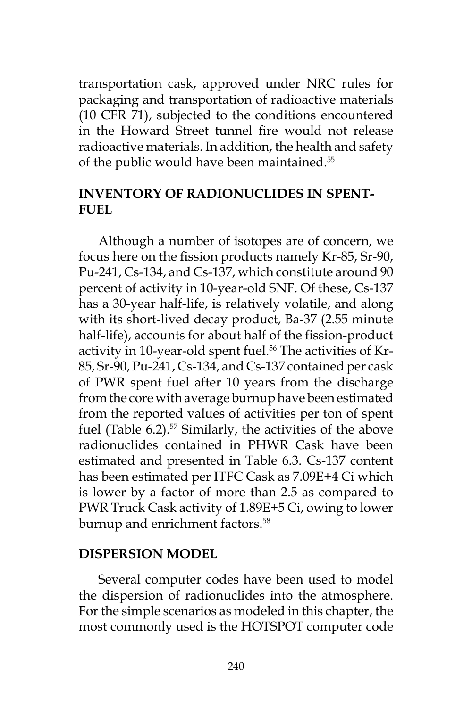transportation cask, approved under NRC rules for packaging and transportation of radioactive materials (10 CFR 71), subjected to the conditions encountered in the Howard Street tunnel fire would not release radioactive materials. In addition, the health and safety of the public would have been maintained.<sup>55</sup>

### **INVENTORY OF RADIONUCLIDES IN SPENT-FUEL**

Although a number of isotopes are of concern, we focus here on the fission products namely Kr-85, Sr-90, Pu-241, Cs-134, and Cs-137, which constitute around 90 percent of activity in 10-year-old SNF. Of these, Cs-137 has a 30-year half-life, is relatively volatile, and along with its short-lived decay product, Ba-37 (2.55 minute half-life), accounts for about half of the fission-product activity in 10-year-old spent fuel.<sup>56</sup> The activities of Kr-85, Sr-90, Pu-241, Cs-134, and Cs-137 contained per cask of PWR spent fuel after 10 years from the discharge from the core with average burnup have been estimated from the reported values of activities per ton of spent fuel (Table 6.2).<sup>57</sup> Similarly, the activities of the above radionuclides contained in PHWR Cask have been estimated and presented in Table 6.3. Cs-137 content has been estimated per ITFC Cask as 7.09E+4 Ci which is lower by a factor of more than 2.5 as compared to PWR Truck Cask activity of 1.89E+5 Ci, owing to lower burnup and enrichment factors.<sup>58</sup>

### **DISPERSION MODEL**

Several computer codes have been used to model the dispersion of radionuclides into the atmosphere. For the simple scenarios as modeled in this chapter, the most commonly used is the HOTSPOT computer code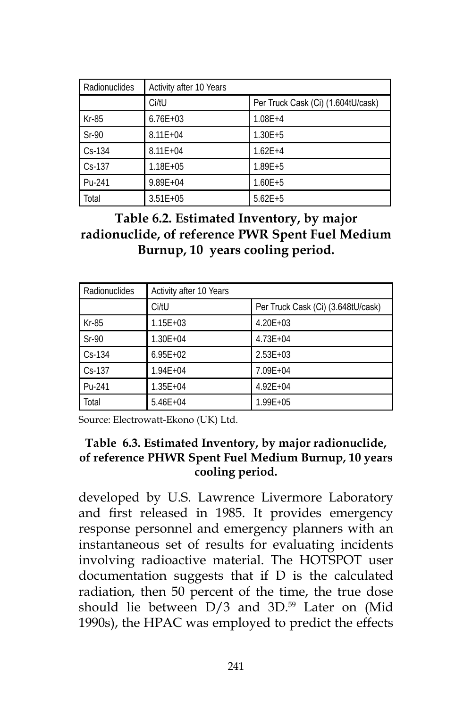| Radionuclides | Activity after 10 Years |                                    |  |  |
|---------------|-------------------------|------------------------------------|--|--|
|               | Ci/tU                   | Per Truck Cask (Ci) (1.604tU/cask) |  |  |
| $Kr-85$       | $6.76E + 03$            | $1.08E + 4$                        |  |  |
| $Sr-90$       | $8.11E + 04$            | $1.30E + 5$                        |  |  |
| $Cs - 134$    | $8.11E + 04$            | $1.62E + 4$                        |  |  |
| $Cs-137$      | $1.18E + 05$            | $1.89E + 5$                        |  |  |
| Pu-241        | $9.89E + 04$            | $1.60E + 5$                        |  |  |
| Total         | $3.51E + 05$            | $5.62E + 5$                        |  |  |

**Table 6.2. Estimated Inventory, by major radionuclide, of reference PWR Spent Fuel Medium Burnup, 10 years cooling period.**

| Radionuclides | Activity after 10 Years |                                    |  |  |
|---------------|-------------------------|------------------------------------|--|--|
|               | Ci/tU                   | Per Truck Cask (Ci) (3.648tU/cask) |  |  |
| Kr-85         | $1.15E + 03$            | $4.20E + 0.3$                      |  |  |
| $Sr-90$       | $1.30E + 04$            | $4.73E + 04$                       |  |  |
| $Cs-134$      | $6.95E + 02$            | $2.53E + 03$                       |  |  |
| $Cs-137$      | $1.94E + 04$            | $7.09E + 04$                       |  |  |
| Pu-241        | $1.35E + 04$            | $4.92E + 04$                       |  |  |
| Total         | $5.46E + 04$            | 1.99E+05                           |  |  |

Source: Electrowatt-Ekono (UK) Ltd.

### **Table 6.3. Estimated Inventory, by major radionuclide, of reference PHWR Spent Fuel Medium Burnup, 10 years cooling period.**

developed by U.S. Lawrence Livermore Laboratory and first released in 1985. It provides emergency response personnel and emergency planners with an instantaneous set of results for evaluating incidents involving radioactive material. The HOTSPOT user documentation suggests that if D is the calculated radiation, then 50 percent of the time, the true dose should lie between  $D/3$  and  $3D$ .<sup>59</sup> Later on (Mid 1990s), the HPAC was employed to predict the effects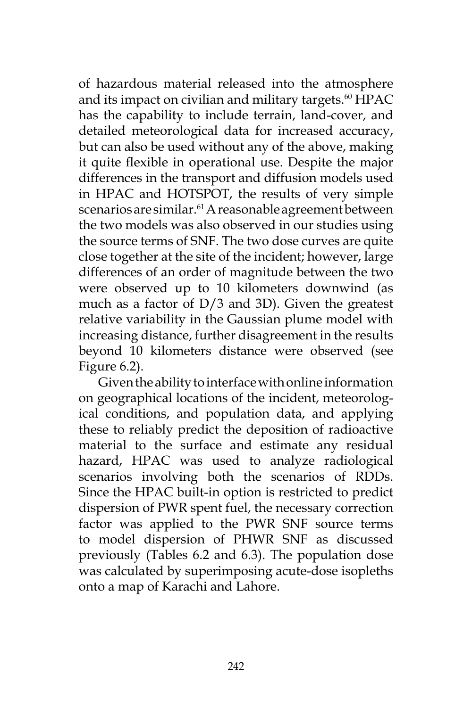of hazardous material released into the atmosphere and its impact on civilian and military targets.<sup>60</sup> HPAC has the capability to include terrain, land-cover, and detailed meteorological data for increased accuracy, but can also be used without any of the above, making it quite flexible in operational use. Despite the major differences in the transport and diffusion models used in HPAC and HOTSPOT, the results of very simple scenarios are similar.<sup>61</sup> A reasonable agreement between the two models was also observed in our studies using the source terms of SNF. The two dose curves are quite close together at the site of the incident; however, large differences of an order of magnitude between the two were observed up to 10 kilometers downwind (as much as a factor of D/3 and 3D). Given the greatest relative variability in the Gaussian plume model with increasing distance, further disagreement in the results beyond 10 kilometers distance were observed (see Figure 6.2).

Given the ability to interface with online information on geographical locations of the incident, meteorological conditions, and population data, and applying these to reliably predict the deposition of radioactive material to the surface and estimate any residual hazard, HPAC was used to analyze radiological scenarios involving both the scenarios of RDDs. Since the HPAC built-in option is restricted to predict dispersion of PWR spent fuel, the necessary correction factor was applied to the PWR SNF source terms to model dispersion of PHWR SNF as discussed previously (Tables 6.2 and 6.3). The population dose was calculated by superimposing acute-dose isopleths onto a map of Karachi and Lahore.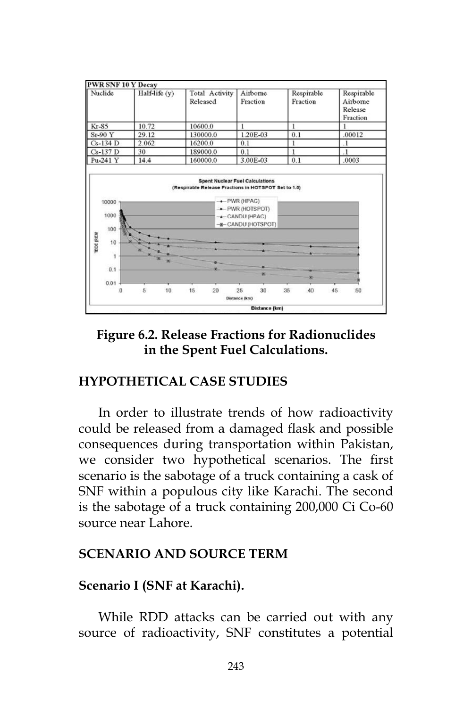

### **Figure 6.2. Release Fractions for Radionuclides in the Spent Fuel Calculations.**

### **HYPOTHETICAL CASE STUDIES**

In order to illustrate trends of how radioactivity could be released from a damaged flask and possible consequences during transportation within Pakistan, we consider two hypothetical scenarios. The first scenario is the sabotage of a truck containing a cask of SNF within a populous city like Karachi. The second is the sabotage of a truck containing 200,000 Ci Co-60 source near Lahore.

### **SCENARIO AND SOURCE TERM**

### **Scenario I (SNF at Karachi).**

While RDD attacks can be carried out with any source of radioactivity, SNF constitutes a potential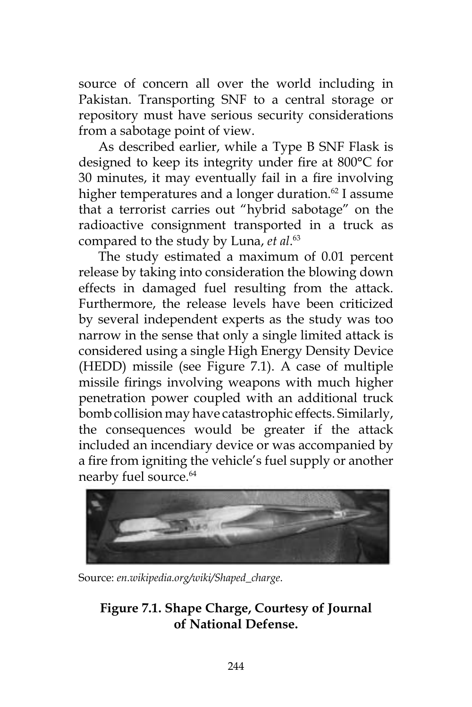source of concern all over the world including in Pakistan. Transporting SNF to a central storage or repository must have serious security considerations from a sabotage point of view.

As described earlier, while a Type B SNF Flask is designed to keep its integrity under fire at 800°C for 30 minutes, it may eventually fail in a fire involving higher temperatures and a longer duration.<sup>62</sup> I assume that a terrorist carries out "hybrid sabotage" on the radioactive consignment transported in a truck as compared to the study by Luna, *et al*. 63

The study estimated a maximum of 0.01 percent release by taking into consideration the blowing down effects in damaged fuel resulting from the attack. Furthermore, the release levels have been criticized by several independent experts as the study was too narrow in the sense that only a single limited attack is considered using a single High Energy Density Device (HEDD) missile (see Figure 7.1). A case of multiple missile firings involving weapons with much higher penetration power coupled with an additional truck bomb collision may have catastrophic effects. Similarly, the consequences would be greater if the attack included an incendiary device or was accompanied by a fire from igniting the vehicle's fuel supply or another nearby fuel source.<sup>64</sup>



Source: *en.wikipedia.org/wiki/Shaped\_charge*.

# **Figure 7.1. Shape Charge, Courtesy of Journal of National Defense.**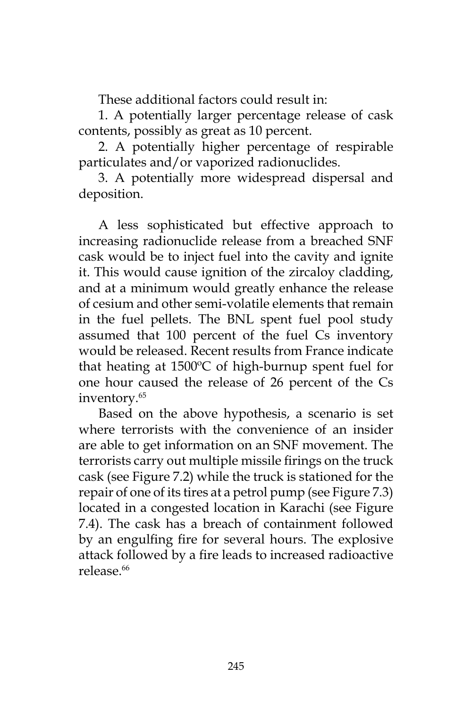These additional factors could result in:

1. A potentially larger percentage release of cask contents, possibly as great as 10 percent.

2. A potentially higher percentage of respirable particulates and/or vaporized radionuclides.

3. A potentially more widespread dispersal and deposition.

A less sophisticated but effective approach to increasing radionuclide release from a breached SNF cask would be to inject fuel into the cavity and ignite it. This would cause ignition of the zircaloy cladding, and at a minimum would greatly enhance the release of cesium and other semi-volatile elements that remain in the fuel pellets. The BNL spent fuel pool study assumed that 100 percent of the fuel Cs inventory would be released. Recent results from France indicate that heating at 1500ºC of high-burnup spent fuel for one hour caused the release of 26 percent of the Cs inventory.<sup>65</sup>

Based on the above hypothesis, a scenario is set where terrorists with the convenience of an insider are able to get information on an SNF movement. The terrorists carry out multiple missile firings on the truck cask (see Figure 7.2) while the truck is stationed for the repair of one of its tires at a petrol pump (see Figure 7.3) located in a congested location in Karachi (see Figure 7.4). The cask has a breach of containment followed by an engulfing fire for several hours. The explosive attack followed by a fire leads to increased radioactive release.<sup>66</sup>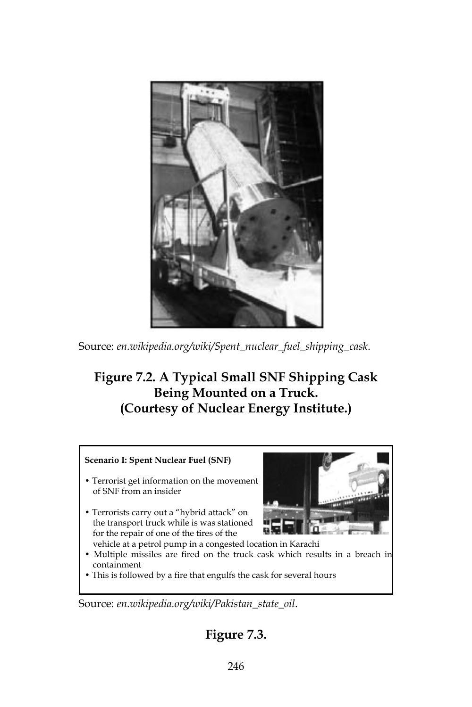

Source: *en.wikipedia.org/wiki/Spent\_nuclear\_fuel\_shipping\_cask*.

# **Figure 7.2. A Typical Small SNF Shipping Cask Being Mounted on a Truck. (Courtesy of Nuclear Energy Institute.)**

#### **Scenario I: Spent Nuclear Fuel (SNF)**

- Terrorist get information on the movement of SNF from an insider
- Terrorists carry out a "hybrid attack" on the transport truck while is was stationed for the repair of one of the tires of the



- vehicle at a petrol pump in a congested location in Karachi
- Multiple missiles are fired on the truck cask which results in a breach in containment
- This is followed by a fire that engulfs the cask for several hours

Source: *en.wikipedia.org/wiki/Pakistan\_state\_oil*.

# **Figure 7.3.**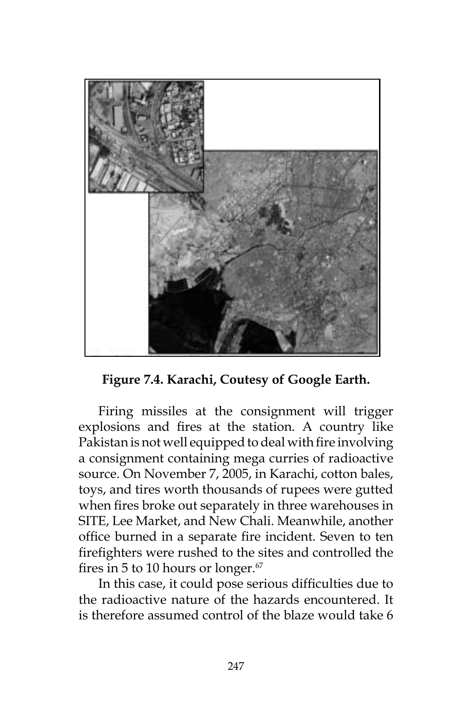

**Figure 7.4. Karachi, Coutesy of Google Earth.**

Firing missiles at the consignment will trigger explosions and fires at the station. A country like Pakistan is not well equipped to deal with fire involving a consignment containing mega curries of radioactive source. On November 7, 2005, in Karachi, cotton bales, toys, and tires worth thousands of rupees were gutted when fires broke out separately in three warehouses in SITE, Lee Market, and New Chali. Meanwhile, another office burned in a separate fire incident. Seven to ten firefighters were rushed to the sites and controlled the fires in 5 to 10 hours or longer.<sup>67</sup>

In this case, it could pose serious difficulties due to the radioactive nature of the hazards encountered. It is therefore assumed control of the blaze would take 6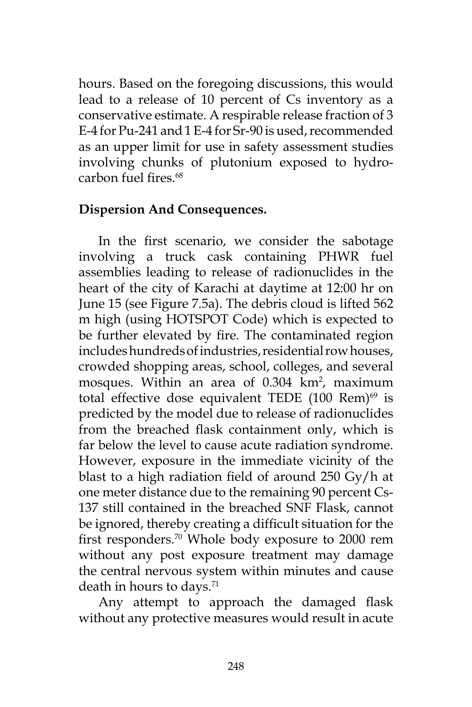hours. Based on the foregoing discussions, this would lead to a release of 10 percent of Cs inventory as a conservative estimate. A respirable release fraction of 3 E-4 for Pu-241 and 1 E-4 for Sr-90 is used, recommended as an upper limit for use in safety assessment studies involving chunks of plutonium exposed to hydrocarbon fuel fires.<sup>68</sup>

### **Dispersion And Consequences.**

In the first scenario, we consider the sabotage involving a truck cask containing PHWR fuel assemblies leading to release of radionuclides in the heart of the city of Karachi at daytime at 12:00 hr on June 15 (see Figure 7.5a). The debris cloud is lifted 562 m high (using HOTSPOT Code) which is expected to be further elevated by fire. The contaminated region includes hundreds of industries, residential row houses, crowded shopping areas, school, colleges, and several mosques. Within an area of  $0.304 \, \text{km}^2$ , maximum total effective dose equivalent TEDE  $(100 \text{ Rem})^{69}$  is predicted by the model due to release of radionuclides from the breached flask containment only, which is far below the level to cause acute radiation syndrome. However, exposure in the immediate vicinity of the blast to a high radiation field of around 250 Gy/h at one meter distance due to the remaining 90 percent Cs-137 still contained in the breached SNF Flask, cannot be ignored, thereby creating a difficult situation for the first responders.70 Whole body exposure to 2000 rem without any post exposure treatment may damage the central nervous system within minutes and cause death in hours to days.<sup>71</sup>

Any attempt to approach the damaged flask without any protective measures would result in acute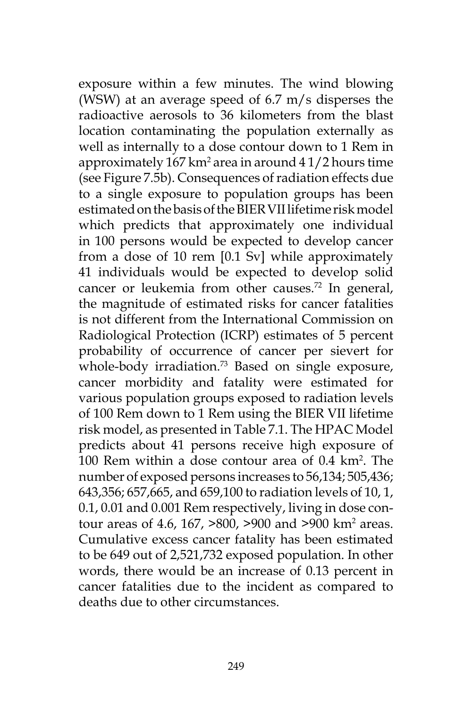exposure within a few minutes. The wind blowing (WSW) at an average speed of 6.7 m/s disperses the radioactive aerosols to 36 kilometers from the blast location contaminating the population externally as well as internally to a dose contour down to 1 Rem in approximately 167 km2 area in around 4 1/2 hours time (see Figure 7.5b). Consequences of radiation effects due to a single exposure to population groups has been estimated on the basis of the BIER VII lifetime risk model which predicts that approximately one individual in 100 persons would be expected to develop cancer from a dose of 10 rem [0.1 Sv] while approximately 41 individuals would be expected to develop solid cancer or leukemia from other causes.<sup>72</sup> In general, the magnitude of estimated risks for cancer fatalities is not different from the International Commission on Radiological Protection (ICRP) estimates of 5 percent probability of occurrence of cancer per sievert for whole-body irradiation.<sup>73</sup> Based on single exposure, cancer morbidity and fatality were estimated for various population groups exposed to radiation levels of 100 Rem down to 1 Rem using the BIER VII lifetime risk model, as presented in Table 7.1. The HPAC Model predicts about 41 persons receive high exposure of 100 Rem within a dose contour area of 0.4 km<sup>2</sup>. The number of exposed persons increases to 56,134; 505,436; 643,356; 657,665, and 659,100 to radiation levels of 10, 1, 0.1, 0.01 and 0.001 Rem respectively, living in dose contour areas of 4.6, 167, >800, >900 and >900 km<sup>2</sup> areas. Cumulative excess cancer fatality has been estimated to be 649 out of 2,521,732 exposed population. In other words, there would be an increase of 0.13 percent in cancer fatalities due to the incident as compared to deaths due to other circumstances.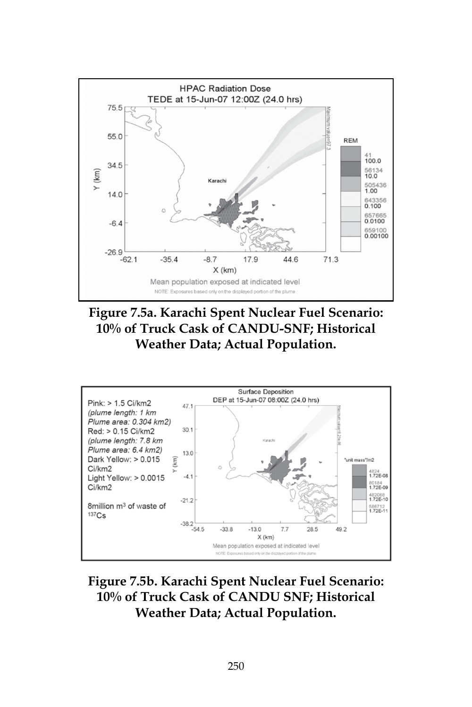

**Figure 7.5a. Karachi Spent Nuclear Fuel Scenario: 10% of Truck Cask of CANDU-SNF; Historical Weather Data; Actual Population.**



**Figure 7.5b. Karachi Spent Nuclear Fuel Scenario: 10% of Truck Cask of CANDU SNF; Historical Weather Data; Actual Population.**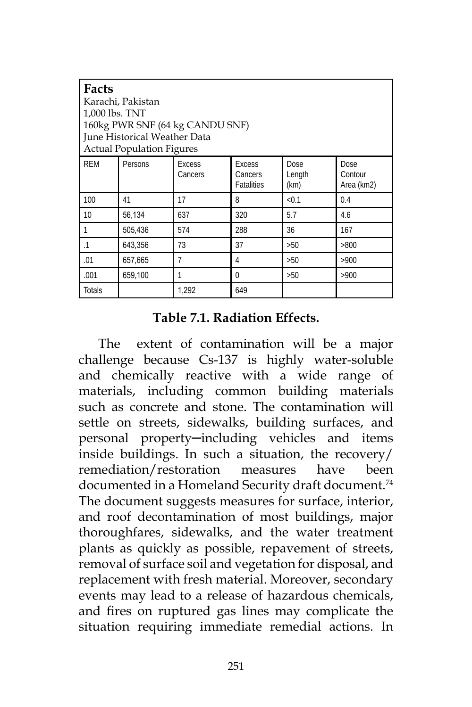| l Facts<br>Karachi, Pakistan<br>1,000 lbs. TNT<br>160kg PWR SNF (64 kg CANDU SNF)<br>June Historical Weather Data<br><b>Actual Population Figures</b> |         |                          |                                 |                        |                               |
|-------------------------------------------------------------------------------------------------------------------------------------------------------|---------|--------------------------|---------------------------------|------------------------|-------------------------------|
| <b>REM</b>                                                                                                                                            | Persons | <b>Excess</b><br>Cancers | Excess<br>Cancers<br>Fatalities | Dose<br>Length<br>(km) | Dose<br>Contour<br>Area (km2) |
| 100                                                                                                                                                   | 41      | 17                       | 8                               | < 0.1                  | 0.4                           |
| 10                                                                                                                                                    | 56,134  | 637                      | 320                             | 5.7                    | 4.6                           |
| 1                                                                                                                                                     | 505,436 | 574                      | 288                             | 36                     | 167                           |
| $\cdot$ 1                                                                                                                                             | 643,356 | 73                       | 37                              | >50                    | >800                          |
| .01                                                                                                                                                   | 657,665 |                          | 4                               | >50                    | >900                          |
| .001                                                                                                                                                  | 659,100 |                          | 0                               | >50                    | >900                          |
| Totals                                                                                                                                                |         | 1,292                    | 649                             |                        |                               |

### **Table 7.1. Radiation Effects.**

The extent of contamination will be a major challenge because Cs-137 is highly water-soluble and chemically reactive with a wide range of materials, including common building materials such as concrete and stone. The contamination will settle on streets, sidewalks, building surfaces, and personal property-including vehicles and items inside buildings. In such a situation, the recovery/ remediation/restoration measures have been documented in a Homeland Security draft document.<sup>74</sup> The document suggests measures for surface, interior, and roof decontamination of most buildings, major thoroughfares, sidewalks, and the water treatment plants as quickly as possible, repavement of streets, removal of surface soil and vegetation for disposal, and replacement with fresh material. Moreover, secondary events may lead to a release of hazardous chemicals, and fires on ruptured gas lines may complicate the situation requiring immediate remedial actions. In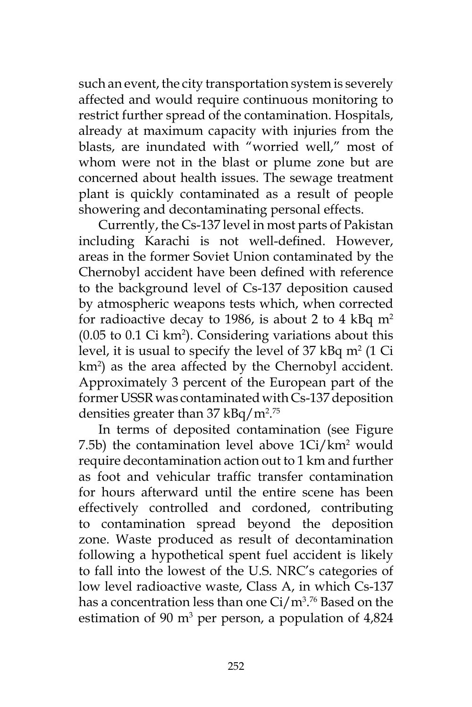such an event, the city transportation system is severely affected and would require continuous monitoring to restrict further spread of the contamination. Hospitals, already at maximum capacity with injuries from the blasts, are inundated with "worried well," most of whom were not in the blast or plume zone but are concerned about health issues. The sewage treatment plant is quickly contaminated as a result of people showering and decontaminating personal effects.

Currently, the Cs-137 level in most parts of Pakistan including Karachi is not well-defined. However, areas in the former Soviet Union contaminated by the Chernobyl accident have been defined with reference to the background level of Cs-137 deposition caused by atmospheric weapons tests which, when corrected for radioactive decay to 1986, is about 2 to 4 kBq  $m<sup>2</sup>$  $(0.05 \text{ to } 0.1 \text{ Ci km}^2)$ . Considering variations about this level, it is usual to specify the level of  $37 \text{ kBq m}^2$  (1 Ci km<sup>2</sup>) as the area affected by the Chernobyl accident. Approximately 3 percent of the European part of the former USSR was contaminated with Cs-137 deposition densities greater than  $37 \text{ kBq/m}^2$ .<sup>75</sup>

In terms of deposited contamination (see Figure 7.5b) the contamination level above  $1\text{Ci}/\text{km}^2$  would require decontamination action out to 1 km and further as foot and vehicular traffic transfer contamination for hours afterward until the entire scene has been effectively controlled and cordoned, contributing to contamination spread beyond the deposition zone. Waste produced as result of decontamination following a hypothetical spent fuel accident is likely to fall into the lowest of the U.S. NRC's categories of low level radioactive waste, Class A, in which Cs-137 has a concentration less than one Ci/m3 . 76 Based on the estimation of 90  $m^3$  per person, a population of 4,824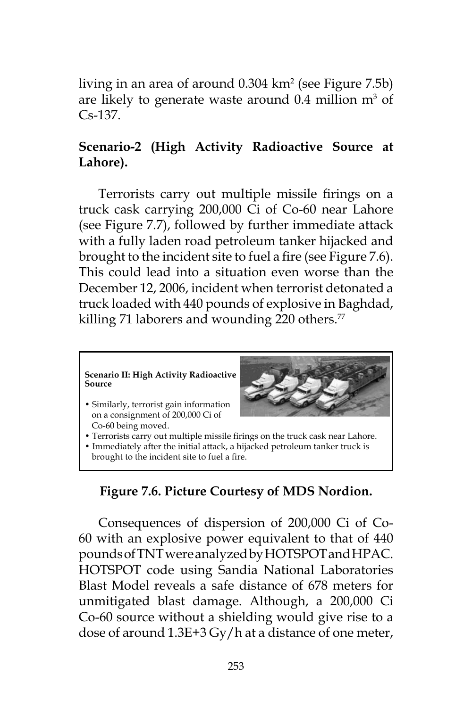living in an area of around 0.304 km2 (see Figure 7.5b) are likely to generate waste around  $0.4$  million  $m<sup>3</sup>$  of Cs-137.

# **Scenario-2 (High Activity Radioactive Source at Lahore).**

Terrorists carry out multiple missile firings on a truck cask carrying 200,000 Ci of Co-60 near Lahore (see Figure 7.7), followed by further immediate attack with a fully laden road petroleum tanker hijacked and brought to the incident site to fuel a fire (see Figure 7.6). This could lead into a situation even worse than the December 12, 2006, incident when terrorist detonated a truck loaded with 440 pounds of explosive in Baghdad, killing 71 laborers and wounding 220 others.<sup>77</sup>



# **Figure 7.6. Picture Courtesy of MDS Nordion.**

Consequences of dispersion of 200,000 Ci of Co-60 with an explosive power equivalent to that of 440 pounds of TNT were analyzed by HOTSPOT and HPAC. HOTSPOT code using Sandia National Laboratories Blast Model reveals a safe distance of 678 meters for unmitigated blast damage. Although, a 200,000 Ci Co-60 source without a shielding would give rise to a dose of around 1.3E+3 Gy/h at a distance of one meter,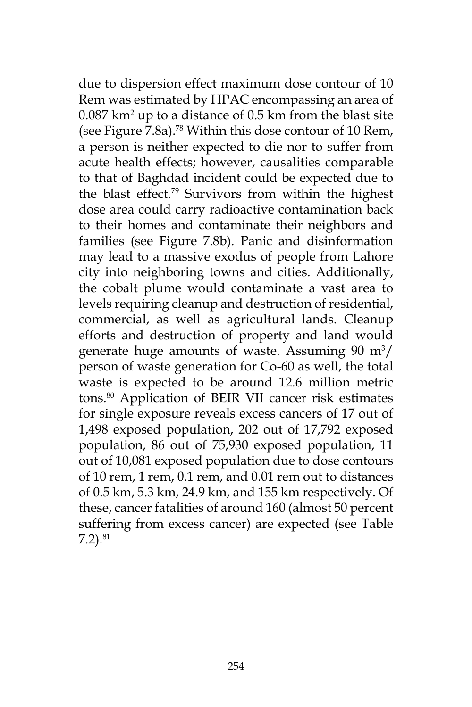due to dispersion effect maximum dose contour of 10 Rem was estimated by HPAC encompassing an area of  $0.087$  km<sup>2</sup> up to a distance of  $0.5$  km from the blast site (see Figure 7.8a).78 Within this dose contour of 10 Rem, a person is neither expected to die nor to suffer from acute health effects; however, causalities comparable to that of Baghdad incident could be expected due to the blast effect.79 Survivors from within the highest dose area could carry radioactive contamination back to their homes and contaminate their neighbors and families (see Figure 7.8b). Panic and disinformation may lead to a massive exodus of people from Lahore city into neighboring towns and cities. Additionally, the cobalt plume would contaminate a vast area to levels requiring cleanup and destruction of residential, commercial, as well as agricultural lands. Cleanup efforts and destruction of property and land would generate huge amounts of waste. Assuming  $90 \text{ m}^3$ / person of waste generation for Co-60 as well, the total waste is expected to be around 12.6 million metric tons.80 Application of BEIR VII cancer risk estimates for single exposure reveals excess cancers of 17 out of 1,498 exposed population, 202 out of 17,792 exposed population, 86 out of 75,930 exposed population, 11 out of 10,081 exposed population due to dose contours of 10 rem, 1 rem, 0.1 rem, and 0.01 rem out to distances of 0.5 km, 5.3 km, 24.9 km, and 155 km respectively. Of these, cancer fatalities of around 160 (almost 50 percent suffering from excess cancer) are expected (see Table  $7.2$ ). $^{81}$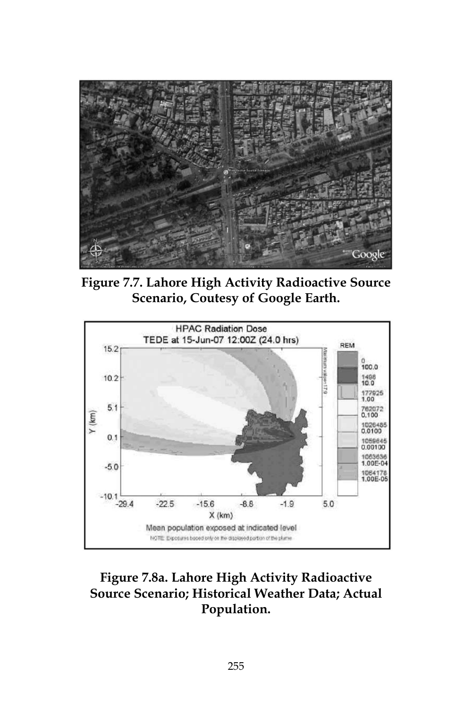

**Figure 7.7. Lahore High Activity Radioactive Source Scenario, Coutesy of Google Earth.**



# **Figure 7.8a. Lahore High Activity Radioactive Source Scenario; Historical Weather Data; Actual Population.**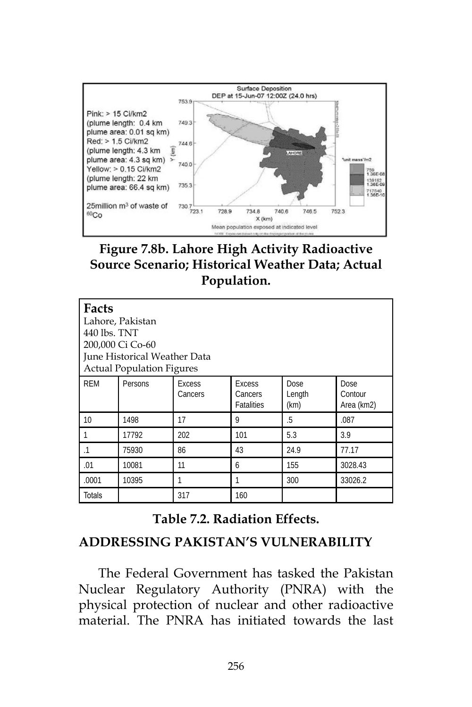

**Figure 7.8b. Lahore High Activity Radioactive Source Scenario; Historical Weather Data; Actual Population.**

| Facts<br>Lahore, Pakistan<br>440 lbs. TNT<br>200,000 Ci Co-60<br>June Historical Weather Data<br><b>Actual Population Figures</b> |         |                          |                                               |                        |                               |
|-----------------------------------------------------------------------------------------------------------------------------------|---------|--------------------------|-----------------------------------------------|------------------------|-------------------------------|
| <b>REM</b>                                                                                                                        | Persons | <b>Excess</b><br>Cancers | <b>Excess</b><br>Cancers<br><b>Fatalities</b> | Dose<br>Length<br>(km) | Dose<br>Contour<br>Area (km2) |
| 10                                                                                                                                | 1498    | 17                       | 9                                             | .5                     | .087                          |
|                                                                                                                                   | 17792   | 202                      | 101                                           | 5.3                    | 3.9                           |
| $\cdot$ 1                                                                                                                         | 75930   | 86                       | 43                                            | 24.9                   | 77.17                         |
| .01                                                                                                                               | 10081   | 11                       | 6                                             | 155                    | 3028.43                       |
| .0001                                                                                                                             | 10395   |                          |                                               | 300                    | 33026.2                       |
| <b>Totals</b>                                                                                                                     |         | 317                      | 160                                           |                        |                               |

**Table 7.2. Radiation Effects.**

### **ADDRESSING PAKISTAN'S VULNERABILITY**

The Federal Government has tasked the Pakistan Nuclear Regulatory Authority (PNRA) with the physical protection of nuclear and other radioactive material. The PNRA has initiated towards the last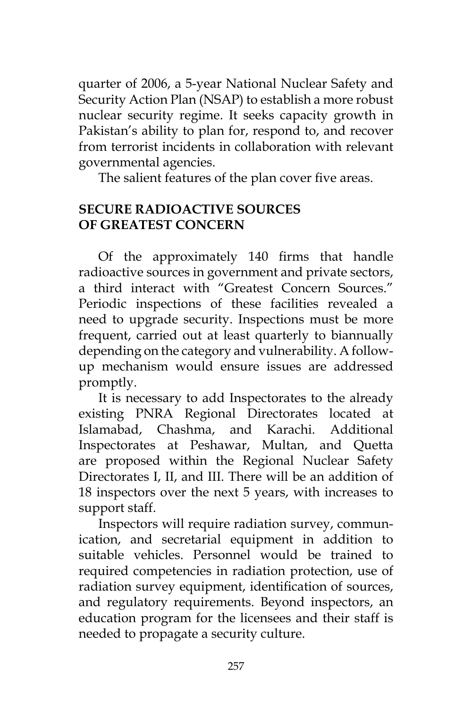quarter of 2006, a 5-year National Nuclear Safety and Security Action Plan (NSAP) to establish a more robust nuclear security regime. It seeks capacity growth in Pakistan's ability to plan for, respond to, and recover from terrorist incidents in collaboration with relevant governmental agencies.

The salient features of the plan cover five areas.

## **SECURE RADIOACTIVE SOURCES OF GREATEST CONCERN**

Of the approximately 140 firms that handle radioactive sources in government and private sectors, a third interact with "Greatest Concern Sources." Periodic inspections of these facilities revealed a need to upgrade security. Inspections must be more frequent, carried out at least quarterly to biannually depending on the category and vulnerability. A followup mechanism would ensure issues are addressed promptly.

It is necessary to add Inspectorates to the already existing PNRA Regional Directorates located at Islamabad, Chashma, and Karachi. Additional Inspectorates at Peshawar, Multan, and Quetta are proposed within the Regional Nuclear Safety Directorates I, II, and III. There will be an addition of 18 inspectors over the next 5 years, with increases to support staff.

Inspectors will require radiation survey, communication, and secretarial equipment in addition to suitable vehicles. Personnel would be trained to required competencies in radiation protection, use of radiation survey equipment, identification of sources, and regulatory requirements. Beyond inspectors, an education program for the licensees and their staff is needed to propagate a security culture.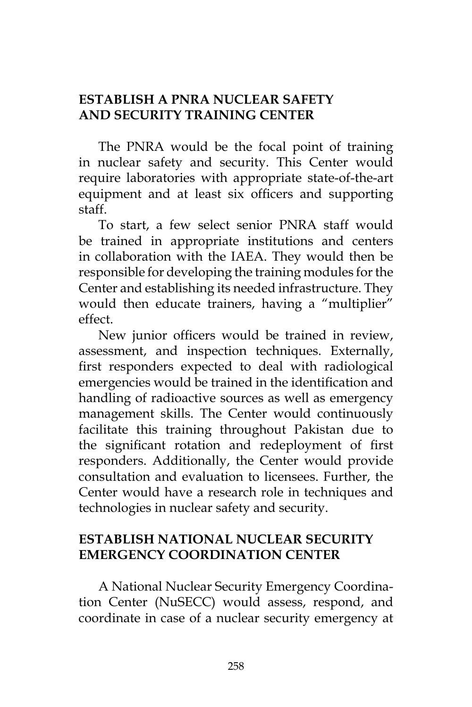## **ESTABLISH A PNRA NUCLEAR SAFETY AND SECURITY TRAINING CENTER**

The PNRA would be the focal point of training in nuclear safety and security. This Center would require laboratories with appropriate state-of-the-art equipment and at least six officers and supporting staff.

To start, a few select senior PNRA staff would be trained in appropriate institutions and centers in collaboration with the IAEA. They would then be responsible for developing the training modules for the Center and establishing its needed infrastructure. They would then educate trainers, having a "multiplier" effect.

New junior officers would be trained in review, assessment, and inspection techniques. Externally, first responders expected to deal with radiological emergencies would be trained in the identification and handling of radioactive sources as well as emergency management skills. The Center would continuously facilitate this training throughout Pakistan due to the significant rotation and redeployment of first responders. Additionally, the Center would provide consultation and evaluation to licensees. Further, the Center would have a research role in techniques and technologies in nuclear safety and security.

# **ESTABLISH NATIONAL NUCLEAR SECURITY EMERGENCY COORDINATION CENTER**

A National Nuclear Security Emergency Coordination Center (NuSECC) would assess, respond, and coordinate in case of a nuclear security emergency at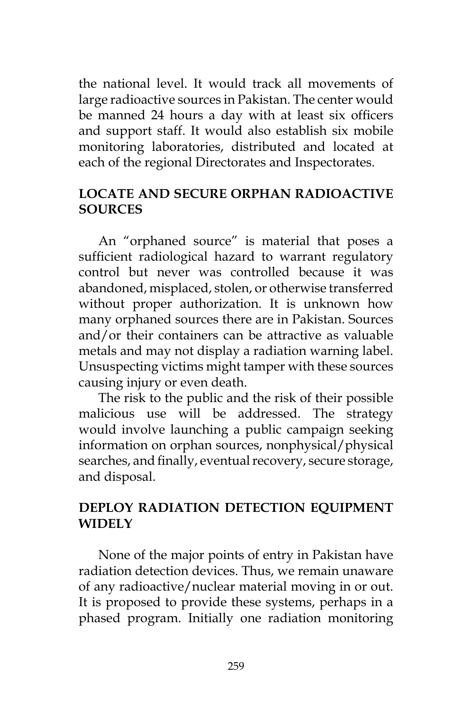the national level. It would track all movements of large radioactive sources in Pakistan. The center would be manned 24 hours a day with at least six officers and support staff. It would also establish six mobile monitoring laboratories, distributed and located at each of the regional Directorates and Inspectorates.

### **LOCATE AND SECURE ORPHAN RADIOACTIVE SOURCES**

An "orphaned source" is material that poses a sufficient radiological hazard to warrant regulatory control but never was controlled because it was abandoned, misplaced, stolen, or otherwise transferred without proper authorization. It is unknown how many orphaned sources there are in Pakistan. Sources and/or their containers can be attractive as valuable metals and may not display a radiation warning label. Unsuspecting victims might tamper with these sources causing injury or even death.

The risk to the public and the risk of their possible malicious use will be addressed. The strategy would involve launching a public campaign seeking information on orphan sources, nonphysical/physical searches, and finally, eventual recovery, secure storage, and disposal.

## **DEPLOY RADIATION DETECTION EQUIPMENT WIDELY**

None of the major points of entry in Pakistan have radiation detection devices. Thus, we remain unaware of any radioactive/nuclear material moving in or out. It is proposed to provide these systems, perhaps in a phased program. Initially one radiation monitoring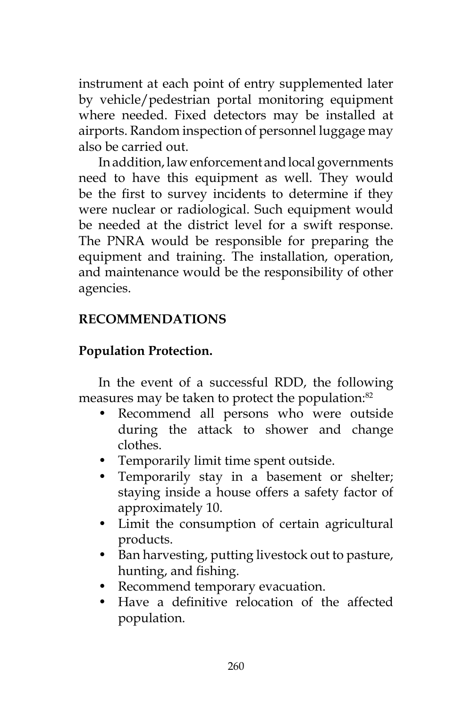instrument at each point of entry supplemented later by vehicle/pedestrian portal monitoring equipment where needed. Fixed detectors may be installed at airports. Random inspection of personnel luggage may also be carried out.

In addition, law enforcement and local governments need to have this equipment as well. They would be the first to survey incidents to determine if they were nuclear or radiological. Such equipment would be needed at the district level for a swift response. The PNRA would be responsible for preparing the equipment and training. The installation, operation, and maintenance would be the responsibility of other agencies.

# **RECOMMENDATIONS**

# **Population Protection.**

In the event of a successful RDD, the following measures may be taken to protect the population:<sup>82</sup>

- Recommend all persons who were outside during the attack to shower and change clothes.
- Temporarily limit time spent outside.
- Temporarily stay in a basement or shelter; staying inside a house offers a safety factor of approximately 10.
- Limit the consumption of certain agricultural products.
- Ban harvesting, putting livestock out to pasture, hunting, and fishing.
- Recommend temporary evacuation.
- Have a definitive relocation of the affected population.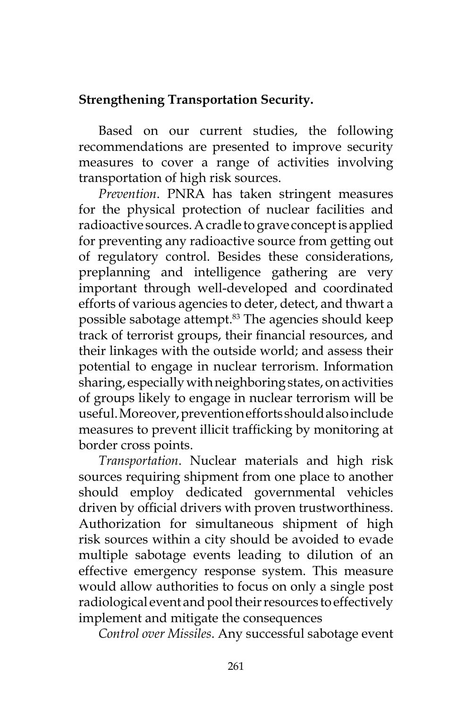# **Strengthening Transportation Security.**

Based on our current studies, the following recommendations are presented to improve security measures to cover a range of activities involving transportation of high risk sources.

*Prevention*. PNRA has taken stringent measures for the physical protection of nuclear facilities and radioactive sources. A cradle to grave concept is applied for preventing any radioactive source from getting out of regulatory control. Besides these considerations, preplanning and intelligence gathering are very important through well-developed and coordinated efforts of various agencies to deter, detect, and thwart a possible sabotage attempt.<sup>83</sup> The agencies should keep track of terrorist groups, their financial resources, and their linkages with the outside world; and assess their potential to engage in nuclear terrorism. Information sharing, especially with neighboring states, on activities of groups likely to engage in nuclear terrorism will be useful. Moreover, prevention efforts should also include measures to prevent illicit trafficking by monitoring at border cross points.

*Transportation*. Nuclear materials and high risk sources requiring shipment from one place to another should employ dedicated governmental vehicles driven by official drivers with proven trustworthiness. Authorization for simultaneous shipment of high risk sources within a city should be avoided to evade multiple sabotage events leading to dilution of an effective emergency response system. This measure would allow authorities to focus on only a single post radiological event and pool their resources to effectively implement and mitigate the consequences

*Control over Missiles*. Any successful sabotage event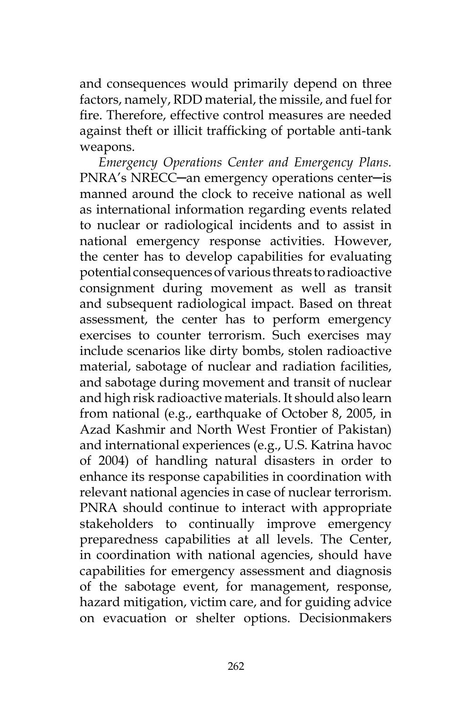and consequences would primarily depend on three factors, namely, RDD material, the missile, and fuel for fire. Therefore, effective control measures are needed against theft or illicit trafficking of portable anti-tank weapons.

*Emergency Operations Center and Emergency Plans.*  PNRA's NRECC─an emergency operations center─is manned around the clock to receive national as well as international information regarding events related to nuclear or radiological incidents and to assist in national emergency response activities. However, the center has to develop capabilities for evaluating potential consequences of various threats to radioactive consignment during movement as well as transit and subsequent radiological impact. Based on threat assessment, the center has to perform emergency exercises to counter terrorism. Such exercises may include scenarios like dirty bombs, stolen radioactive material, sabotage of nuclear and radiation facilities, and sabotage during movement and transit of nuclear and high risk radioactive materials. It should also learn from national (e.g., earthquake of October 8, 2005, in Azad Kashmir and North West Frontier of Pakistan) and international experiences (e.g., U.S. Katrina havoc of 2004) of handling natural disasters in order to enhance its response capabilities in coordination with relevant national agencies in case of nuclear terrorism. PNRA should continue to interact with appropriate stakeholders to continually improve emergency preparedness capabilities at all levels. The Center, in coordination with national agencies, should have capabilities for emergency assessment and diagnosis of the sabotage event, for management, response, hazard mitigation, victim care, and for guiding advice on evacuation or shelter options. Decisionmakers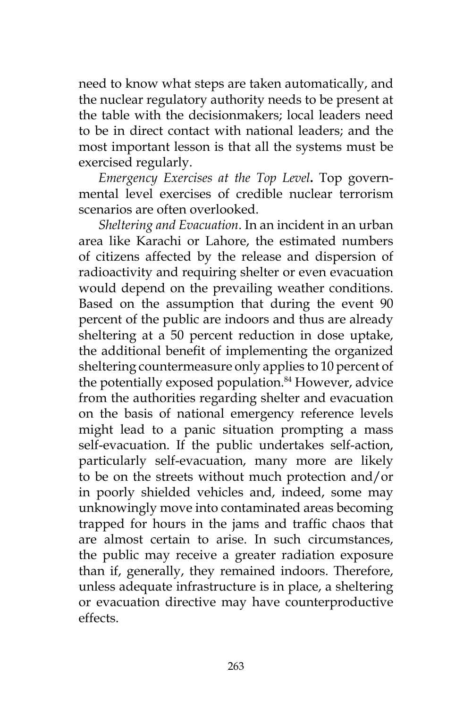need to know what steps are taken automatically, and the nuclear regulatory authority needs to be present at the table with the decisionmakers; local leaders need to be in direct contact with national leaders; and the most important lesson is that all the systems must be exercised regularly.

*Emergency Exercises at the Top Level***.** Top governmental level exercises of credible nuclear terrorism scenarios are often overlooked.

*Sheltering and Evacuation*. In an incident in an urban area like Karachi or Lahore, the estimated numbers of citizens affected by the release and dispersion of radioactivity and requiring shelter or even evacuation would depend on the prevailing weather conditions. Based on the assumption that during the event 90 percent of the public are indoors and thus are already sheltering at a 50 percent reduction in dose uptake, the additional benefit of implementing the organized sheltering countermeasure only applies to 10 percent of the potentially exposed population.<sup>84</sup> However, advice from the authorities regarding shelter and evacuation on the basis of national emergency reference levels might lead to a panic situation prompting a mass self-evacuation. If the public undertakes self-action, particularly self-evacuation, many more are likely to be on the streets without much protection and/or in poorly shielded vehicles and, indeed, some may unknowingly move into contaminated areas becoming trapped for hours in the jams and traffic chaos that are almost certain to arise. In such circumstances, the public may receive a greater radiation exposure than if, generally, they remained indoors. Therefore, unless adequate infrastructure is in place, a sheltering or evacuation directive may have counterproductive effects.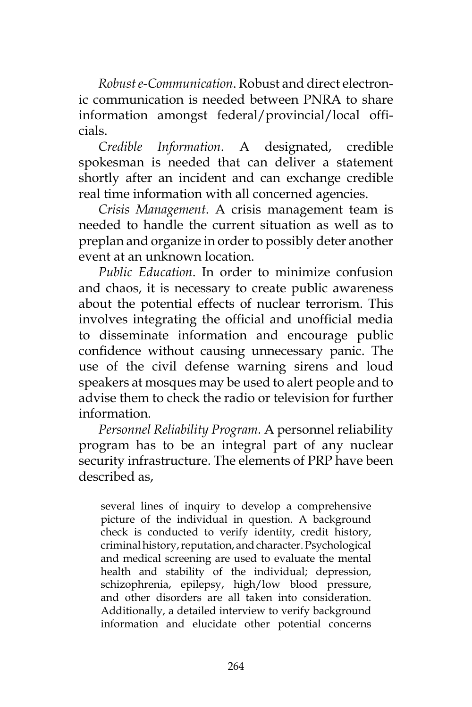*Robust e-Communication*. Robust and direct electronic communication is needed between PNRA to share information amongst federal/provincial/local officials.

*Credible Information*. A designated, credible spokesman is needed that can deliver a statement shortly after an incident and can exchange credible real time information with all concerned agencies.

*Crisis Management*. A crisis management team is needed to handle the current situation as well as to preplan and organize in order to possibly deter another event at an unknown location.

*Public Education*. In order to minimize confusion and chaos, it is necessary to create public awareness about the potential effects of nuclear terrorism. This involves integrating the official and unofficial media to disseminate information and encourage public confidence without causing unnecessary panic. The use of the civil defense warning sirens and loud speakers at mosques may be used to alert people and to advise them to check the radio or television for further information.

*Personnel Reliability Program.* A personnel reliability program has to be an integral part of any nuclear security infrastructure. The elements of PRP have been described as,

several lines of inquiry to develop a comprehensive picture of the individual in question. A background check is conducted to verify identity, credit history, criminal history, reputation, and character. Psychological and medical screening are used to evaluate the mental health and stability of the individual; depression, schizophrenia, epilepsy, high/low blood pressure, and other disorders are all taken into consideration. Additionally, a detailed interview to verify background information and elucidate other potential concerns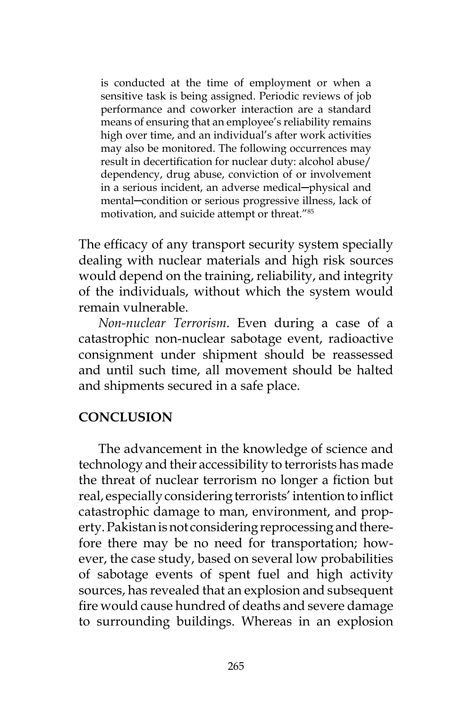is conducted at the time of employment or when a sensitive task is being assigned. Periodic reviews of job performance and coworker interaction are a standard means of ensuring that an employee's reliability remains high over time, and an individual's after work activities may also be monitored. The following occurrences may result in decertification for nuclear duty: alcohol abuse/ dependency, drug abuse, conviction of or involvement in a serious incident, an adverse medical─physical and mental─condition or serious progressive illness, lack of motivation, and suicide attempt or threat."85

The efficacy of any transport security system specially dealing with nuclear materials and high risk sources would depend on the training, reliability, and integrity of the individuals, without which the system would remain vulnerable.

*Non-nuclear Terrorism*. Even during a case of a catastrophic non-nuclear sabotage event, radioactive consignment under shipment should be reassessed and until such time, all movement should be halted and shipments secured in a safe place.

## **CONCLUSION**

The advancement in the knowledge of science and technology and their accessibility to terrorists has made the threat of nuclear terrorism no longer a fiction but real, especially considering terrorists' intention to inflict catastrophic damage to man, environment, and property. Pakistan is not considering reprocessing and therefore there may be no need for transportation; however, the case study, based on several low probabilities of sabotage events of spent fuel and high activity sources, has revealed that an explosion and subsequent fire would cause hundred of deaths and severe damage to surrounding buildings. Whereas in an explosion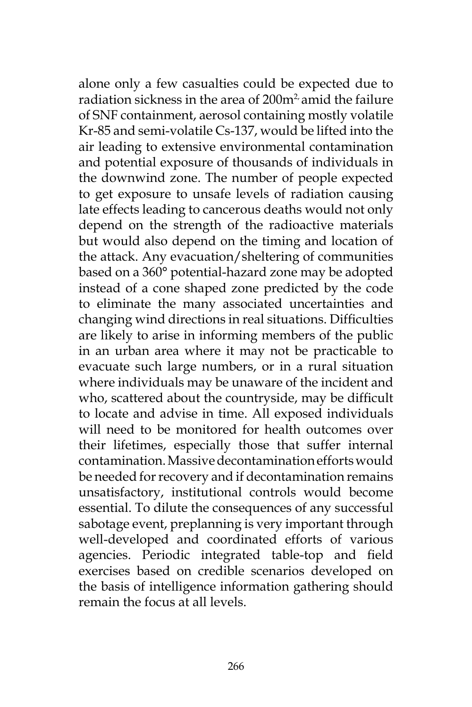alone only a few casualties could be expected due to radiation sickness in the area of 200m<sup>2</sup> amid the failure of SNF containment, aerosol containing mostly volatile Kr-85 and semi-volatile Cs-137, would be lifted into the air leading to extensive environmental contamination and potential exposure of thousands of individuals in the downwind zone. The number of people expected to get exposure to unsafe levels of radiation causing late effects leading to cancerous deaths would not only depend on the strength of the radioactive materials but would also depend on the timing and location of the attack. Any evacuation/sheltering of communities based on a 360° potential-hazard zone may be adopted instead of a cone shaped zone predicted by the code to eliminate the many associated uncertainties and changing wind directions in real situations. Difficulties are likely to arise in informing members of the public in an urban area where it may not be practicable to evacuate such large numbers, or in a rural situation where individuals may be unaware of the incident and who, scattered about the countryside, may be difficult to locate and advise in time. All exposed individuals will need to be monitored for health outcomes over their lifetimes, especially those that suffer internal contamination. Massive decontamination efforts would be needed for recovery and if decontamination remains unsatisfactory, institutional controls would become essential. To dilute the consequences of any successful sabotage event, preplanning is very important through well-developed and coordinated efforts of various agencies. Periodic integrated table-top and field exercises based on credible scenarios developed on the basis of intelligence information gathering should remain the focus at all levels.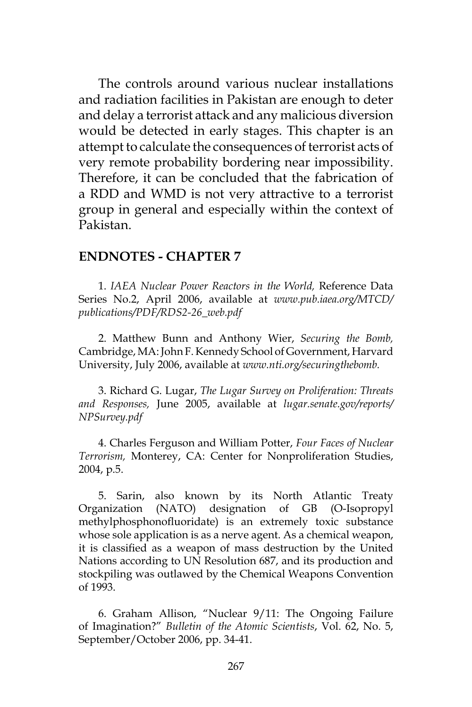The controls around various nuclear installations and radiation facilities in Pakistan are enough to deter and delay a terrorist attack and any malicious diversion would be detected in early stages. This chapter is an attempt to calculate the consequences of terrorist acts of very remote probability bordering near impossibility. Therefore, it can be concluded that the fabrication of a RDD and WMD is not very attractive to a terrorist group in general and especially within the context of Pakistan.

#### **ENDNOTES - CHAPTER 7**

1. *IAEA Nuclear Power Reactors in the World,* Reference Data Series No.2, April 2006, available at *www.pub.iaea.org/MTCD/ publications/PDF/RDS2-26\_web.pdf*

2. Matthew Bunn and Anthony Wier, *Securing the Bomb,*  Cambridge, MA: John F. Kennedy School of Government, Harvard University, July 2006, available at *www.nti.org/securingthebomb.*

3. Richard G. Lugar, *The Lugar Survey on Proliferation: Threats and Responses,* June 2005, available at *lugar.senate.gov/reports/ NPSurvey.pdf*

4. Charles Ferguson and William Potter, *Four Faces of Nuclear Terrorism,* Monterey, CA: Center for Nonproliferation Studies, 2004, p.5.

5. Sarin, also known by its North Atlantic Treaty Organization (NATO) designation of GB (O-Isopropyl methylphosphonofluoridate) is an extremely toxic substance whose sole application is as a nerve agent. As a chemical weapon, it is classified as a weapon of mass destruction by the United Nations according to UN Resolution 687, and its production and stockpiling was outlawed by the Chemical Weapons Convention of 1993.

6. Graham Allison, "Nuclear 9/11: The Ongoing Failure of Imagination?" *Bulletin of the Atomic Scientists*, Vol. 62, No. 5, September/October 2006, pp. 34-41.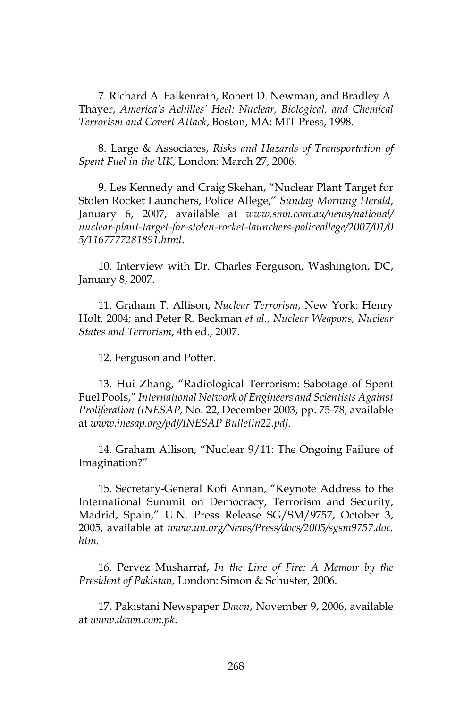7. Richard A. Falkenrath, Robert D. Newman, and Bradley A. Thayer, *America's Achilles' Heel: Nuclear, Biological, and Chemical Terrorism and Covert Attack*, Boston, MA: MIT Press, 1998.

8. Large & Associates, *Risks and Hazards of Transportation of Spent Fuel in the UK*, London: March 27, 2006.

9. Les Kennedy and Craig Skehan, "Nuclear Plant Target for Stolen Rocket Launchers, Police Allege," *Sunday Morning Herald*, January 6, 2007, available at *www.smh.com.au/news/national/ nuclear-plant-target-for-stolen-rocket-launchers-policeallege/2007/01/0 5/1167777281891.html*.

10. Interview with Dr. Charles Ferguson, Washington, DC, January 8, 2007.

11. Graham T. Allison, *Nuclear Terrorism*, New York: Henry Holt, 2004; and Peter R. Beckman *et al.*, *Nuclear Weapons, Nuclear States and Terrorism*, 4th ed., 2007.

12. Ferguson and Potter*.*

13. Hui Zhang, "Radiological Terrorism: Sabotage of Spent Fuel Pools," *International Network of Engineers and Scientists Against Proliferation (INESAP,* No. 22, December 2003, pp. 75-78, available at *www.inesap.org/pdf/INESAP Bulletin22.pdf*.

14. Graham Allison, "Nuclear 9/11: The Ongoing Failure of Imagination?"

15. Secretary-General Kofi Annan, "Keynote Address to the International Summit on Democracy, Terrorism and Security, Madrid, Spain," U.N. Press Release SG/SM/9757, October 3, 2005, available at *www.un.org/News/Press/docs/2005/sgsm9757.doc. htm*.

16. Pervez Musharraf, *In the Line of Fire: A Memoir by the President of Pakistan*, London: Simon & Schuster, 2006.

17. Pakistani Newspaper *Dawn*, November 9, 2006, available at *www.dawn.com.pk*.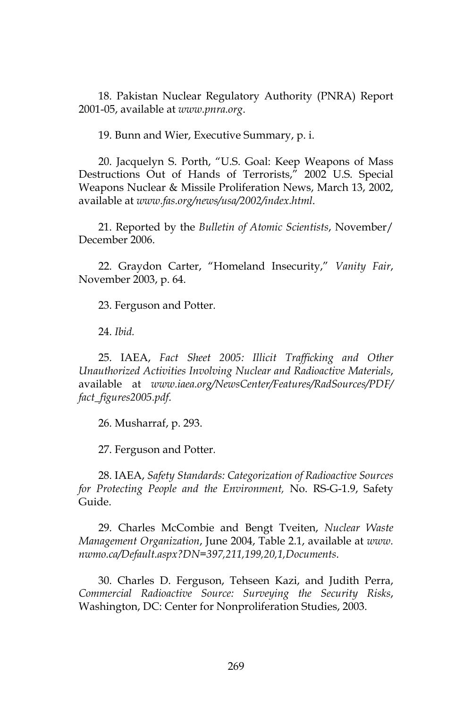18. Pakistan Nuclear Regulatory Authority (PNRA) Report 2001-05, available at *www.pnra.org*.

19. Bunn and Wier, Executive Summary, p. i.

20. Jacquelyn S. Porth, "U.S. Goal: Keep Weapons of Mass Destructions Out of Hands of Terrorists," 2002 U.S. Special Weapons Nuclear & Missile Proliferation News, March 13, 2002, available at *www.fas.org/news/usa/2002/index.html*.

21. Reported by the *Bulletin of Atomic Scientists*, November/ December 2006.

22. Graydon Carter, "Homeland Insecurity," *Vanity Fair*, November 2003, p. 64.

23. Ferguson and Potter*.*

24. *Ibid.*

25. IAEA, *Fact Sheet 2005: Illicit Trafficking and Other Unauthorized Activities Involving Nuclear and Radioactive Materials*, available at *www.iaea.org/NewsCenter/Features/RadSources/PDF/ fact\_figures2005.pdf*.

26. Musharraf, p. 293.

27. Ferguson and Potter*.*

28. IAEA, *Safety Standards: Categorization of Radioactive Sources for Protecting People and the Environment,* No. RS-G-1.9, Safety Guide.

29. Charles McCombie and Bengt Tveiten, *Nuclear Waste Management Organization*, June 2004, Table 2.1, available at *www. nwmo.ca/Default.aspx?DN=397,211,199,20,1,Documents*.

30. Charles D. Ferguson, Tehseen Kazi, and Judith Perra, *Commercial Radioactive Source: Surveying the Security Risks*, Washington, DC: Center for Nonproliferation Studies, 2003.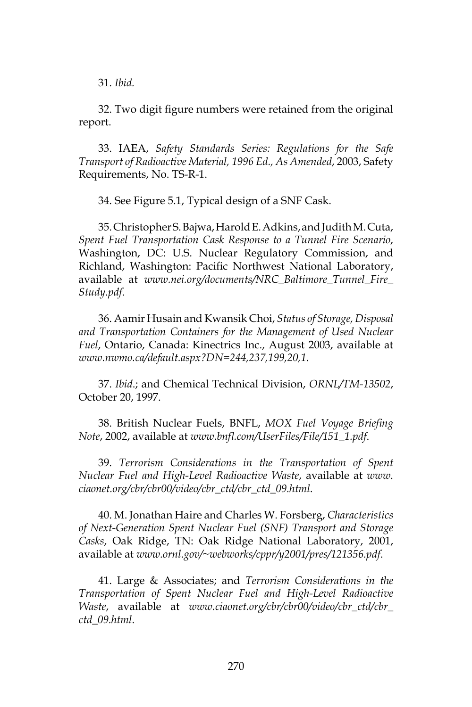31. *Ibid.*

32. Two digit figure numbers were retained from the original report.

33. IAEA, *Safety Standards Series: Regulations for the Safe Transport of Radioactive Material, 1996 Ed., As Amended*, 2003, Safety Requirements, No. TS-R-1.

34. See Figure 5.1, Typical design of a SNF Cask.

35. Christopher S. Bajwa, Harold E. Adkins, and Judith M. Cuta, *Spent Fuel Transportation Cask Response to a Tunnel Fire Scenario*, Washington, DC: U.S. Nuclear Regulatory Commission, and Richland, Washington: Pacific Northwest National Laboratory, available at *www.nei.org/documents/NRC\_Baltimore\_Tunnel\_Fire\_ Study.pdf*.

36. Aamir Husain and Kwansik Choi, *Status of Storage, Disposal and Transportation Containers for the Management of Used Nuclear Fuel*, Ontario, Canada: Kinectrics Inc., August 2003, available at *www.nwmo.ca/default.aspx?DN=244,237,199,20,1*.

37. *Ibid*.; and Chemical Technical Division, *ORNL/TM-13502*, October 20, 1997.

38. British Nuclear Fuels, BNFL, *MOX Fuel Voyage Briefing Note*, 2002, available at *www.bnfl.com/UserFiles/File/151\_1.pdf*.

39. *Terrorism Considerations in the Transportation of Spent Nuclear Fuel and High-Level Radioactive Waste*, available at *www. ciaonet.org/cbr/cbr00/video/cbr\_ctd/cbr\_ctd\_09.html*.

40. M. Jonathan Haire and Charles W. Forsberg, *Characteristics of Next-Generation Spent Nuclear Fuel (SNF) Transport and Storage Casks*, Oak Ridge, TN: Oak Ridge National Laboratory, 2001, available at *www.ornl.gov/~webworks/cppr/y2001/pres/121356.pdf*.

41. Large & Associates; and *Terrorism Considerations in the Transportation of Spent Nuclear Fuel and High-Level Radioactive Waste*, available at *www.ciaonet.org/cbr/cbr00/video/cbr\_ctd/cbr\_ ctd\_09.html*.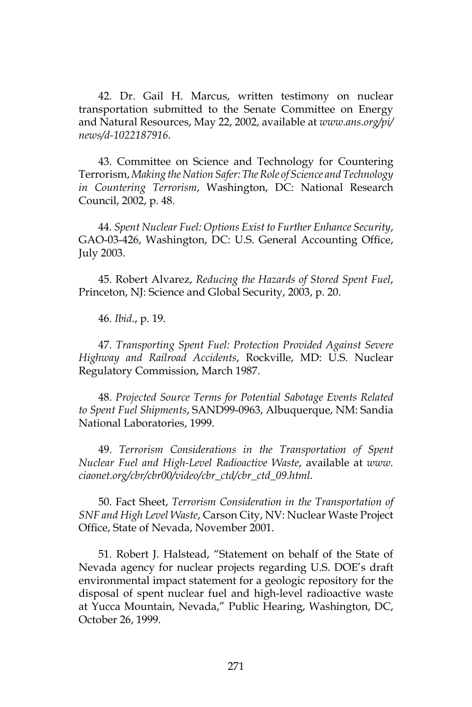42. Dr. Gail H. Marcus, written testimony on nuclear transportation submitted to the Senate Committee on Energy and Natural Resources, May 22, 2002, available at *www.ans.org/pi/ news/d-1022187916*.

43. Committee on Science and Technology for Countering Terrorism, *Making the Nation Safer: The Role of Science and Technology in Countering Terrorism*, Washington, DC: National Research Council, 2002, p. 48.

44. *Spent Nuclear Fuel: Options Exist to Further Enhance Security*, GAO-03-426, Washington, DC: U.S. General Accounting Office, July 2003.

45. Robert Alvarez, *Reducing the Hazards of Stored Spent Fuel*, Princeton, NJ: Science and Global Security, 2003, p. 20.

46. *Ibid.*, p. 19.

47. *Transporting Spent Fuel: Protection Provided Against Severe Highway and Railroad Accidents*, Rockville, MD: U.S. Nuclear Regulatory Commission, March 1987.

48. *Projected Source Terms for Potential Sabotage Events Related to Spent Fuel Shipments*, SAND99-0963, Albuquerque, NM: Sandia National Laboratories, 1999.

49. *Terrorism Considerations in the Transportation of Spent Nuclear Fuel and High-Level Radioactive Waste*, available at *www. ciaonet.org/cbr/cbr00/video/cbr\_ctd/cbr\_ctd\_09.html*.

50. Fact Sheet, *Terrorism Consideration in the Transportation of SNF and High Level Waste*, Carson City, NV: Nuclear Waste Project Office, State of Nevada, November 2001.

51. Robert J. Halstead, "Statement on behalf of the State of Nevada agency for nuclear projects regarding U.S. DOE's draft environmental impact statement for a geologic repository for the disposal of spent nuclear fuel and high-level radioactive waste at Yucca Mountain, Nevada," Public Hearing, Washington, DC, October 26, 1999.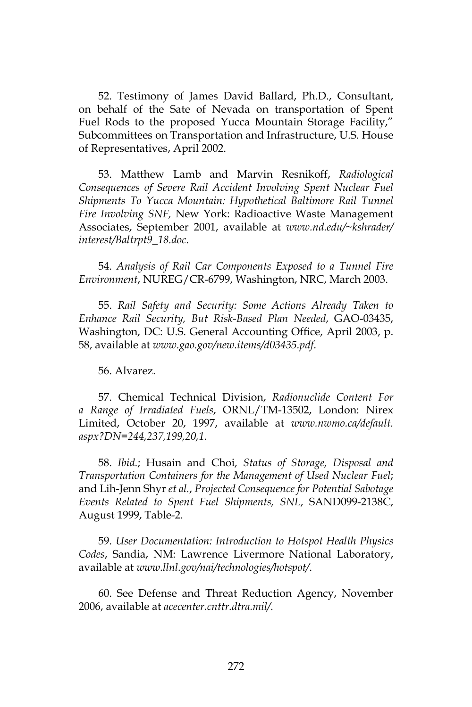52. Testimony of James David Ballard, Ph.D., Consultant, on behalf of the Sate of Nevada on transportation of Spent Fuel Rods to the proposed Yucca Mountain Storage Facility," Subcommittees on Transportation and Infrastructure, U.S. House of Representatives, April 2002.

53. Matthew Lamb and Marvin Resnikoff, *Radiological Consequences of Severe Rail Accident Involving Spent Nuclear Fuel Shipments To Yucca Mountain: Hypothetical Baltimore Rail Tunnel Fire Involving SNF,* New York: Radioactive Waste Management Associates, September 2001, available at *www.nd.edu/~kshrader/ interest/Baltrpt9\_18.doc*.

54. *Analysis of Rail Car Components Exposed to a Tunnel Fire Environment*, NUREG/CR-6799, Washington, NRC, March 2003.

55. *Rail Safety and Security: Some Actions Already Taken to Enhance Rail Security, But Risk-Based Plan Needed*, GAO-03435, Washington, DC: U.S. General Accounting Office, April 2003, p. 58, available at *www.gao.gov/new.items/d03435.pdf*.

56. Alvarez*.*

57. Chemical Technical Division, *Radionuclide Content For a Range of Irradiated Fuels*, ORNL/TM-13502, London: Nirex Limited, October 20, 1997, available at *www.nwmo.ca/default. aspx?DN=244,237,199,20,1*.

58. *Ibid.*; Husain and Choi, *Status of Storage, Disposal and Transportation Containers for the Management of Used Nuclear Fuel*; and Lih-Jenn Shyr *et al.*, *Projected Consequence for Potential Sabotage Events Related to Spent Fuel Shipments, SNL*, SAND099-2138C, August 1999, Table-2.

59. *User Documentation: Introduction to Hotspot Health Physics Codes*, Sandia, NM: Lawrence Livermore National Laboratory, available at *www.llnl.gov/nai/technologies/hotspot/*.

60. See Defense and Threat Reduction Agency, November 2006, available at *acecenter.cnttr.dtra.mil/*.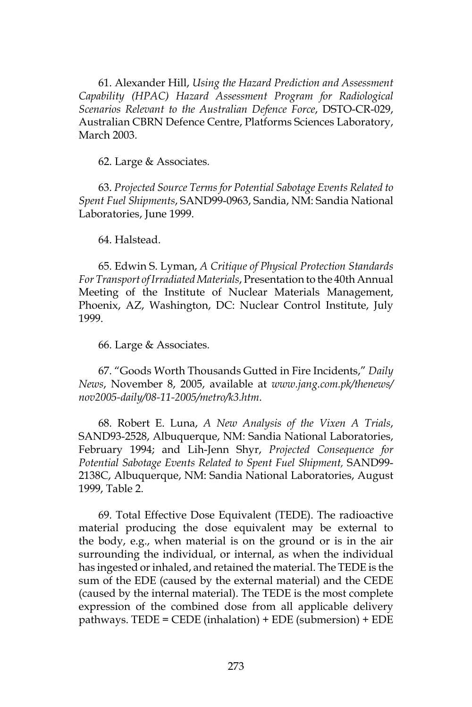61. Alexander Hill, *Using the Hazard Prediction and Assessment Capability (HPAC) Hazard Assessment Program for Radiological Scenarios Relevant to the Australian Defence Force*, DSTO-CR-029, Australian CBRN Defence Centre, Platforms Sciences Laboratory, March 2003.

62. Large & Associates*.*

63. *Projected Source Terms for Potential Sabotage Events Related to Spent Fuel Shipments*, SAND99-0963, Sandia, NM: Sandia National Laboratories, June 1999.

#### 64. Halstead.

65. Edwin S. Lyman, *A Critique of Physical Protection Standards For Transport of Irradiated Materials*, Presentation to the 40th Annual Meeting of the Institute of Nuclear Materials Management, Phoenix, AZ, Washington, DC: Nuclear Control Institute, July 1999.

66. Large & Associates*.*

67. "Goods Worth Thousands Gutted in Fire Incidents," *Daily News*, November 8, 2005, available at *www.jang.com.pk/thenews/ nov2005-daily/08-11-2005/metro/k3.htm*.

68. Robert E. Luna, *A New Analysis of the Vixen A Trials*, SAND93-2528, Albuquerque, NM: Sandia National Laboratories, February 1994; and Lih-Jenn Shyr, *Projected Consequence for Potential Sabotage Events Related to Spent Fuel Shipment,* SAND99- 2138C, Albuquerque, NM: Sandia National Laboratories, August 1999, Table 2.

69. Total Effective Dose Equivalent (TEDE). The radioactive material producing the dose equivalent may be external to the body, e.g., when material is on the ground or is in the air surrounding the individual, or internal, as when the individual has ingested or inhaled, and retained the material. The TEDE is the sum of the EDE (caused by the external material) and the CEDE (caused by the internal material). The TEDE is the most complete expression of the combined dose from all applicable delivery pathways. TEDE = CEDE (inhalation) + EDE (submersion) + EDE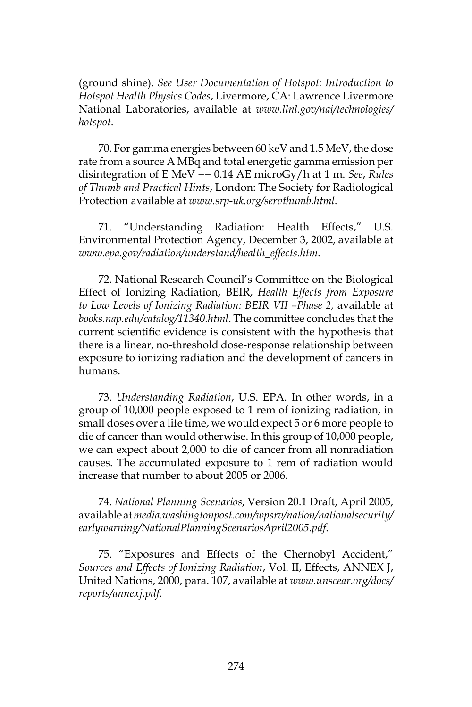(ground shine). *See User Documentation of Hotspot: Introduction to Hotspot Health Physics Codes*, Livermore, CA: Lawrence Livermore National Laboratories, available at *www.llnl.gov/nai/technologies/ hotspot*.

70. For gamma energies between 60 keV and 1.5 MeV, the dose rate from a source A MBq and total energetic gamma emission per disintegration of E MeV == 0.14 AE microGy/h at 1 m. *See*, *Rules of Thumb and Practical Hints*, London: The Society for Radiological Protection available at *www.srp-uk.org/servthumb.html*.

71. "Understanding Radiation: Health Effects," U.S. Environmental Protection Agency, December 3, 2002, available at *www.epa.gov/radiation/understand/health\_effects.htm*.

72. National Research Council's Committee on the Biological Effect of Ionizing Radiation, BEIR, *Health Effects from Exposure to Low Levels of Ionizing Radiation: BEIR VII –Phase 2,* available at *books.nap.edu/catalog/11340.html*. The committee concludes that the current scientific evidence is consistent with the hypothesis that there is a linear, no-threshold dose-response relationship between exposure to ionizing radiation and the development of cancers in humans.

73. *Understanding Radiation*, U.S. EPA*.* In other words, in a group of 10,000 people exposed to 1 rem of ionizing radiation, in small doses over a life time, we would expect 5 or 6 more people to die of cancer than would otherwise. In this group of 10,000 people, we can expect about 2,000 to die of cancer from all nonradiation causes. The accumulated exposure to 1 rem of radiation would increase that number to about 2005 or 2006.

74. *National Planning Scenarios*, Version 20.1 Draft, April 2005, available at *media.washingtonpost.com/wpsrv/nation/nationalsecurity/ earlywarning/NationalPlanningScenariosApril2005.pdf*.

75. "Exposures and Effects of the Chernobyl Accident," *Sources and Effects of Ionizing Radiation*, Vol. II, Effects, ANNEX J, United Nations, 2000, para. 107, available at *www.unscear.org/docs/ reports/annexj.pdf*.